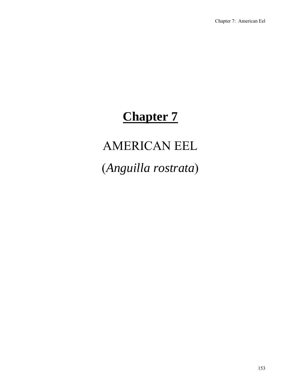# **Chapter 7**

# AMERICAN EEL

(*Anguilla rostrata*)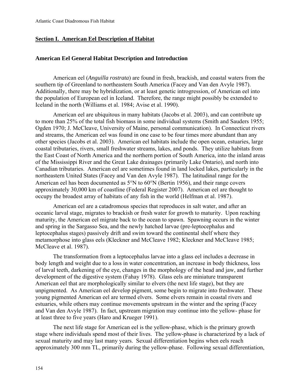# **Section I. American Eel Description of Habitat**

# **American Eel General Habitat Description and Introduction**

American eel (*Anguilla rostrata*) are found in fresh, brackish, and coastal waters from the southern tip of Greenland to northeastern South America (Facey and Van den Avyle 1987). Additionally, there may be hybridization, or at least genetic introgression, of American eel into the population of European eel in Iceland. Therefore, the range might possibly be extended to Iceland in the north (Williams et al. 1984; Avise et al. 1990).

American eel are ubiquitous in many habitats (Jacobs et al. 2003), and can contribute up to more than 25% of the total fish biomass in some individual systems (Smith and Sauders 1955; Ogden 1970; J. McCleave, University of Maine, personal communication). In Connecticut rivers and streams, the American eel was found in one case to be four times more abundant than any other species (Jacobs et al. 2003). American eel habitats include the open ocean, estuaries, large coastal tributaries, rivers, small freshwater streams, lakes, and ponds. They utilize habitats from the East Coast of North America and the northern portion of South America, into the inland areas of the Mississippi River and the Great Lake drainages (primarily Lake Ontario), and north into Canadian tributaries. American eel are sometimes found in land locked lakes, particularly in the northeastern United States (Facey and Van den Avyle 1987). The latitudinal range for the American eel has been documented as 5°N to 60°N (Bertin 1956), and their range covers approximately 30,000 km of coastline (Federal Register 2007). American eel are thought to occupy the broadest array of habitats of any fish in the world (Helfman et al. 1987).

American eel are a catadromous species that reproduces in salt water, and after an oceanic larval stage, migrates to brackish or fresh water for growth to maturity. Upon reaching maturity, the American eel migrate back to the ocean to spawn. Spawning occurs in the winter and spring in the Sargasso Sea, and the newly hatched larvae (pre-leptocephalus and leptocephalus stages) passively drift and swim toward the continental shelf where they metamorphose into glass eels (Kleckner and McCleave 1982; Kleckner and McCleave 1985; McCleave et al. 1987).

The transformation from a leptocephalus larvae into a glass eel includes a decrease in body length and weight due to a loss in water concentration, an increase in body thickness, loss of larval teeth, darkening of the eye, changes in the morphology of the head and jaw, and further development of the digestive system (Fahay 1978). Glass eels are miniature transparent American eel that are morphologically similar to elvers (the next life stage), but they are unpigmented. As American eel develop pigment, some begin to migrate into freshwater. These young pigmented American eel are termed elvers. Some elvers remain in coastal rivers and estuaries, while others may continue movements upstream in the winter and the spring (Facey and Van den Avyle 1987). In fact, upstream migration may continue into the yellow- phase for at least three to five years (Haro and Krueger 1991).

The next life stage for American eel is the yellow-phase, which is the primary growth stage where individuals spend most of their lives. The yellow-phase is characterized by a lack of sexual maturity and may last many years. Sexual differentiation begins when eels reach approximately 300 mm TL, primarily during the yellow-phase. Following sexual differentiation,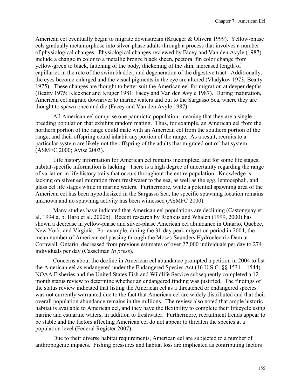American eel eventually begin to migrate downstream (Krueger & Olivera 1999). Yellow-phase eels gradually metamorphose into silver-phase adults through a process that involves a number of physiological changes. Physiological changes reviewed by Facey and Van den Avyle (1987) include a change in color to a metallic bronze black sheen, pectoral fin color change from yellow-green to black, fattening of the body, thickening of the skin, increased length of capillaries in the rete of the swim bladder, and degeneration of the digestive tract. Additionally, the eyes become enlarged and the visual pigments in the eye are altered (Vladykov 1973; Beatty 1975). These changes are thought to better suit the American eel for migration at deeper depths (Beatty 1975; Kleckner and Kruger 1981; Facey and Van den Avyle 1987). During maturation, American eel migrate downriver to marine waters and out to the Sargasso Sea, where they are thought to spawn once and die (Facey and Van den Avyle 1987).

All American eel comprise one panmictic population, meaning that they are a single breeding population that exhibits random mating. Thus, for example, an American eel from the northern portion of the range could mate with an American eel from the southern portion of the range, and their offspring could inhabit any portion of the range. As a result, recruits to a particular system are likely not the offspring of the adults that migrated out of that system (ASMFC 2000; Avise 2003).

Life history information for American eel remains incomplete, and for some life stages, habitat-specific information is lacking. There is a high degree of uncertainty regarding the range of variation in life history traits that occurs throughout the entire population. Knowledge is lacking on silver eel migration from freshwater to the sea, as well as the egg, leptocephali, and glass eel life stages while in marine waters. Furthermore, while a potential spawning area of the American eel has been hypothesized in the Sargasso Sea, the specific spawning location remains unknown and no spawning activity has been witnessed (ASMFC 2000).

Many studies have indicated that American eel populations are declining (Castonguay et al. 1994 a, b; Haro et al. 2000b). Recent research by Richkus and Whalen (1999, 2000) has shown a decrease in yellow-phase and silver-phase American eel abundance in Ontario, Quebec, New York, and Virginia. For example, during the 31-day peak migration period in 2004, the mean number of American eel passing through the Moses-Saunders Hydroelectric Dam at Cornwall, Ontario, decreased from previous estimates of over 27,000 individuals per day to 274 individuals per day (Casselman *In press*).

Concerns about the decline in American eel abundance prompted a petition in 2004 to list the American eel as endangered under the Endangered Species Act (16 U.S.C. §§ 1531 – 1544). NOAA Fisheries and the United States Fish and Wildlife Service subsequently completed a 12 month status review to determine whether an endangered finding was justified. The findings of the status review indicated that listing the American eel as a threatened or endangered species was not currently warranted due to the fact that American eel are widely distributed and that their overall population abundance remains in the millions. The review also noted that ample historic habitat is available to American eel, and they have the flexibility to complete their lifecycle using marine and estuarine waters, in addition to freshwater. Furthermore, recruitment trends appear to be stable and the factors affecting American eel do not appear to threaten the species at a population level (Federal Register 2007).

Due to their diverse habitat requirements, American eel are subjected to a number of anthropogenic impacts. Fishing pressures and habitat loss are implicated as contributing factors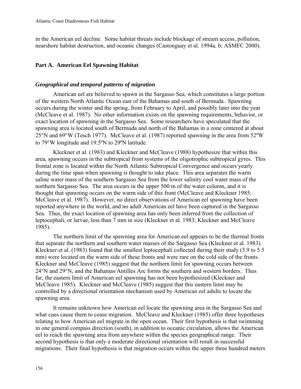in the American eel decline. Some habitat threats include blockage of stream access, pollution, nearshore habitat destruction, and oceanic changes (Castonguay et al. 1994a, b; ASMFC 2000).

# **Part A. American Eel Spawning Habitat**

# *Geographical and temporal patterns of migration*

American eel are believed to spawn in the Sargasso Sea, which constitutes a large portion of the western North Atlantic Ocean east of the Bahamas and south of Bermuda. Spawning occurs during the winter and the spring, from February to April, and possibly later into the year (McCleave et al. 1987). No other information exists on the spawning requirements, behavior, or exact location of spawning in the Sargasso Sea. Some researchers have speculated that the spawning area is located south of Bermuda and north of the Bahamas in a zone centered at about 25°N and 69°W (Tesch 1977). McCleave et al. (1987) reported spawning in the area from 52ºW to 79°W longitude and 19.5ºN to 29ºN latitude.

Kleckner et al. (1983) and Kleckner and McCleave (1988) hypothesize that within this area, spawning occurs in the subtropical front systems of the oligotrophic subtropical gyres. This frontal zone is located within the North Atlantic Subtropical Convergence and occurs yearly during the time span when spawning is thought to take place. This area separates the warm saline water mass of the southern Sargasso Sea from the lower salinity cool water mass of the northern Sargasso Sea. The area occurs in the upper 500 m of the water column, and it is thought that spawning occurs on the warm side of this front (McCleave and Kleckner 1985; McCleave et al. 1987). However, no direct observations of American eel spawning have been reported anywhere in the world, and no adult American eel have been captured in the Sargasso Sea. Thus, the exact location of spawning area has only been inferred from the collection of leptocephali, or larvae, less than 7 mm in size (Kleckner et al. 1983; Kleckner and McCleave 1985).

The northern limit of the spawning area for American eel appears to be the thermal fronts that separate the northern and southern water masses of the Sargasso Sea (Kleckner et al. 1983). Kleckner et al. (1983) found that the smallest leptocephali collected during their study (3.9 to 5.5 mm) were located on the warm side of these fronts and were rare on the cold side of the fronts. Kleckner and McCleave (1985) suggest that the northern limit for spawning occurs between 24°N and 29°N, and the Bahamas/Antilles Arc forms the southern and western borders. Thus far, the eastern limit of American eel spawning has not been hypothesized (Kleckner and McCleave 1985). Kleckner and McCleave (1985) suggest that this eastern limit may be controlled by a directional orientation mechanism used by American eel adults to locate the spawning area.

It remains unknown how American eel locate the spawning area in the Sargasso Sea and what cues cause them to cease migration. McCleave and Kleckner (1985) offer three hypotheses relating to how American eel migrate in the open ocean. Their first hypothesis is that swimming in one general compass direction (south), in addition to oceanic circulation, allows the American eel to reach the spawning area from anywhere within the species geographical range. Their second hypothesis is that only a moderate directional orientation will result in successful migrations. Their final hypothesis is that migration occurs within the upper three hundred meters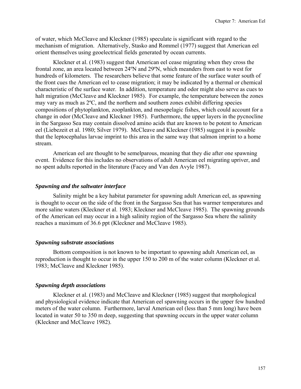of water, which McCleave and Kleckner (1985) speculate is significant with regard to the mechanism of migration.Alternatively, Stasko and Rommel (1977) suggest that American eel orient themselves using geoelectrical fields generated by ocean currents.

Kleckner et al. (1983) suggest that American eel cease migrating when they cross the frontal zone, an area located between 24ºN and 29ºN, which meanders from east to west for hundreds of kilometers. The researchers believe that some feature of the surface water south of the front cues the American eel to cease migration; it may be indicated by a thermal or chemical characteristic of the surface water. In addition, temperature and odor might also serve as cues to halt migration (McCleave and Kleckner 1985). For example, the temperature between the zones may vary as much as 2ºC, and the northern and southern zones exhibit differing species compositions of phytoplankton, zooplankton, and mesopelagic fishes, which could account for a change in odor (McCleave and Kleckner 1985). Furthermore, the upper layers in the pycnocline in the Sargasso Sea may contain dissolved amino acids that are known to be potent to American eel (Liebezeit et al. 1980; Silver 1979). McCleave and Kleckner (1985) suggest it is possible that the leptocephalus larvae imprint to this area in the same way that salmon imprint to a home stream.

American eel are thought to be semelparous, meaning that they die after one spawning event. Evidence for this includes no observations of adult American eel migrating upriver, and no spent adults reported in the literature (Facey and Van den Avyle 1987).

#### *Spawning and the saltwater interface*

Salinity might be a key habitat parameter for spawning adult American eel, as spawning is thought to occur on the side of the front in the Sargasso Sea that has warmer temperatures and more saline waters (Kleckner et al. 1983; Kleckner and McCleave 1985). The spawning grounds of the American eel may occur in a high salinity region of the Sargasso Sea where the salinity reaches a maximum of 36.6 ppt (Kleckner and McCleave 1985).

#### *Spawning substrate associations*

Bottom composition is not known to be important to spawning adult American eel, as reproduction is thought to occur in the upper 150 to 200 m of the water column (Kleckner et al. 1983; McCleave and Kleckner 1985).

## *Spawning depth associations*

Kleckner et al. (1983) and McCleave and Kleckner (1985) suggest that morphological and physiological evidence indicate that American eel spawning occurs in the upper few hundred meters of the water column. Furthermore, larval American eel (less than 5 mm long) have been located in water 50 to 350 m deep, suggesting that spawning occurs in the upper water column (Kleckner and McCleave 1982).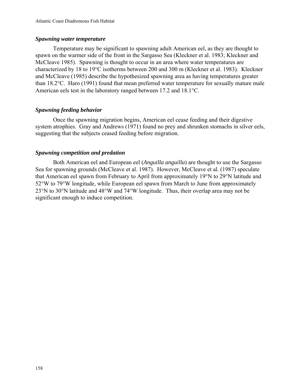#### *Spawning water temperature*

Temperature may be significant to spawning adult American eel, as they are thought to spawn on the warmer side of the front in the Sargasso Sea (Kleckner et al. 1983; Kleckner and McCleave 1985). Spawning is thought to occur in an area where water temperatures are characterized by 18 to 19°C isotherms between 200 and 300 m (Kleckner et al. 1983). Kleckner and McCleave (1985) describe the hypothesized spawning area as having temperatures greater than 18.2°C. Haro (1991) found that mean preferred water temperature for sexually mature male American eels test in the laboratory ranged between 17.2 and 18.1°C.

# *Spawning feeding behavior*

Once the spawning migration begins, American eel cease feeding and their digestive system atrophies. Gray and Andrews (1971) found no prey and shrunken stomachs in silver eels, suggesting that the subjects ceased feeding before migration.

# *Spawning competition and predation*

Both American eel and European eel (*Anguilla anguilla*) are thought to use the Sargasso Sea for spawning grounds (McCleave et al. 1987). However, McCleave et al. (1987) speculate that American eel spawn from February to April from approximately 19°N to 29°N latitude and 52°W to 79°W longitude, while European eel spawn from March to June from approximately 23°N to 30°N latitude and 48°W and 74°W longitude. Thus, their overlap area may not be significant enough to induce competition.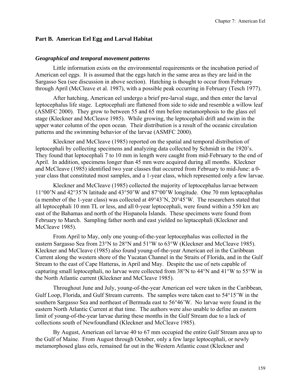#### **Part B. American Eel Egg and Larval Habitat**

#### *Geographical and temporal movement patterns*

Little information exists on the environmental requirements or the incubation period of American eel eggs. It is assumed that the eggs hatch in the same area as they are laid in the Sargasso Sea (see discussion in above section). Hatching is thought to occur from February through April (McCleave et al. 1987), with a possible peak occurring in February (Tesch 1977).

After hatching, American eel undergo a brief pre-larval stage, and then enter the larval leptocephalus life stage. Leptocephali are flattened from side to side and resemble a willow leaf (ASMFC 2000). They grow to between 55 and 65 mm before metamorphosis to the glass eel stage (Kleckner and McCleave 1985). While growing, the leptocephali drift and swim in the upper water column of the open ocean. Their distribution is a result of the oceanic circulation patterns and the swimming behavior of the larvae (ASMFC 2000).

Kleckner and McCleave (1985) reported on the spatial and temporal distribution of leptocephali by collecting specimens and analyzing data collected by Schmidt in the 1920's. They found that leptocephali 7 to 10 mm in length were caught from mid-February to the end of April. In addition, specimens longer than 45 mm were acquired during all months. Kleckner and McCleave (1985) identified two year classes that occurred from February to mid-June: a 0 year class that constituted most samples, and a 1-year class, which represented only a few larvae.

Kleckner and McCleave (1985) collected the majority of leptocephalus larvae between 11°00'N and 42°35'N latitude and 43°50'W and 87°00'W longitude. One 70 mm leptacephalus (a member of the 1-year class) was collected at 49°43'N, 20°45'W. The researchers stated that all leptocephali 10 mm TL or less, and all 0-year leptocephali, were found within a 550 km arc east of the Bahamas and north of the Hispanola Islands. These specimens were found from February to March. Sampling father north and east yielded no leptacephali (Kleckner and McCleave 1985).

From April to May, only one young-of-the-year leptocephalus was collected in the eastern Sargasso Sea from 23°N to 28°N and 51°W to 63°W (Kleckner and McCleave 1985). Kleckner and McCleave (1985) also found young-of-the-year American eel in the Caribbean Current along the western shore of the Yucatan Channel in the Straits of Florida, and in the Gulf Stream to the east of Cape Hatteras, in April and May. Despite the use of nets capable of capturing small leptocephali, no larvae were collected from 38°N to 44°N and 41°W to 55°W in the North Atlantic current (Kleckner and McCleave 1985).

Throughout June and July, young-of-the-year American eel were taken in the Caribbean, Gulf Loop, Florida, and Gulf Stream currents. The samples were taken east to 54°15'W in the southern Sargasso Sea and northeast of Bermuda east to 56°46'W. No larvae were found in the eastern North Atlantic Current at that time. The authors were also unable to define an eastern limit of young-of-the-year larvae during these months in the Gulf Stream due to a lack of collections south of Newfoundland (Kleckner and McCleave 1985).

By August, American eel larvae 40 to 67 mm occupied the entire Gulf Stream area up to the Gulf of Maine. From August through October, only a few large leptocephali, or newly metamorphosed glass eels, remained far out in the Western Atlantic coast (Kleckner and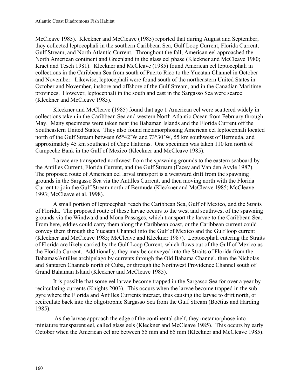McCleave 1985). Kleckner and McCleave (1985) reported that during August and September, they collected leptocephali in the southern Caribbean Sea, Gulf Loop Current, Florida Current, Gulf Stream, and North Atlantic Current. Throughout the fall, American eel approached the North American continent and Greenland in the glass eel phase (Kleckner and McCleave 1980; Kract and Tesch 1981). Kleckner and McCleave (1985) found American eel leptocephali in collections in the Caribbean Sea from south of Puerto Rico to the Yucatan Channel in October and November. Likewise, leptocephali were found south of the northeastern United States in October and November, inshore and offshore of the Gulf Stream, and in the Canadian Maritime provinces. However, leptocephali in the south and east in the Sargasso Sea were scarce (Kleckner and McCleave 1985).

Kleckner and McCleave (1985) found that age 1 American eel were scattered widely in collections taken in the Caribbean Sea and western North Atlantic Ocean from February through May. Many specimens were taken near the Bahaman Islands and the Florida Current off the Southeastern United States. They also found metamorphosing American eel leptocephali located north of the Gulf Stream between 65°42'W and 73°30'W, 55 km southwest of Bermuda, and approximately 45 km southeast of Cape Hatteras. One specimen was taken 110 km north of Campeche Bank in the Gulf of Mexico (Kleckner and McCleave 1985).

 Larvae are transported northwest from the spawning grounds to the eastern seaboard by the Antilles Current, Florida Current, and the Gulf Stream (Facey and Van den Avyle 1987). The proposed route of American eel larval transport is a westward drift from the spawning grounds in the Sargasso Sea via the Antilles Current, and then moving north with the Florida Current to join the Gulf Stream north of Bermuda (Kleckner and McCleave 1985; McCleave 1993; McCleave et al. 1998).

 A small portion of leptocephali reach the Caribbean Sea, Gulf of Mexico, and the Straits of Florida. The proposed route of these larvae occurs to the west and southwest of the spawning grounds via the Windward and Mona Passages, which transport the larvae to the Caribbean Sea. From here, eddies could carry them along the Caribbean coast, or the Caribbean current could convey them through the Yucatan Channel into the Gulf of Mexico and the Gulf loop current (Kleckner and McCleave 1985; McCleave and Kleckner 1987). Leptocephali entering the Straits of Florida are likely carried by the Gulf Loop Current, which flows out of the Gulf of Mexico as the Florida Current. Additionally, they may be conveyed into the Straits of Florida from the Bahamas/Antilles archipelago by currents through the Old Bahama Channel, then the Nicholas and Santaren Channels north of Cuba, or through the Northwest Providence Channel south of Grand Bahaman Island (Kleckner and McCleave 1985).

It is possible that some eel larvae become trapped in the Sargasso Sea for over a year by recirculating currents (Knights 2003). This occurs when the larvae become trapped in the subgyre where the Florida and Antilles Currents interact, thus causing the larvae to drift north, or recirculate back into the oligotrophic Sargasso Sea from the Gulf Stream (Boёtius and Harding 1985).

 As the larvae approach the edge of the continental shelf, they metamorphose into miniature transparent eel, called glass eels (Kleckner and McCleave 1985). This occurs by early October when the American eel are between 55 mm and 65 mm (Kleckner and McCleave 1985).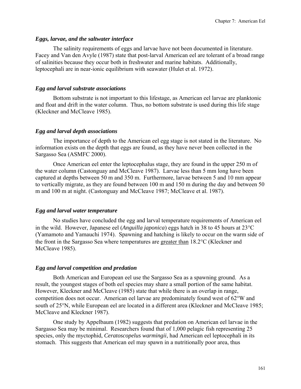#### *Eggs, larvae, and the saltwater interface*

The salinity requirements of eggs and larvae have not been documented in literature. Facey and Van den Avyle (1987) state that post-larval American eel are tolerant of a broad range of salinities because they occur both in freshwater and marine habitats. Additionally, leptocephali are in near-ionic equilibrium with seawater (Hulet et al. 1972).

#### *Egg and larval substrate associations*

Bottom substrate is not important to this lifestage, as American eel larvae are planktonic and float and drift in the water column. Thus, no bottom substrate is used during this life stage (Kleckner and McCleave 1985).

#### *Egg and larval depth associations*

The importance of depth to the American eel egg stage is not stated in the literature. No information exists on the depth that eggs are found, as they have never been collected in the Sargasso Sea (ASMFC 2000).

Once American eel enter the leptocephalus stage, they are found in the upper 250 m of the water column (Castonguay and McCleave 1987). Larvae less than 5 mm long have been captured at depths between 50 m and 350 m. Furthermore, larvae between 5 and 10 mm appear to vertically migrate, as they are found between 100 m and 150 m during the day and between 50 m and 100 m at night. (Castonguay and McCleave 1987; McCleave et al. 1987).

#### *Egg and larval water temperature*

No studies have concluded the egg and larval temperature requirements of American eel in the wild. However, Japanese eel (*Anguilla japonica*) eggs hatch in 38 to 45 hours at 23°C (Yamamoto and Yamauchi 1974). Spawning and hatching is likely to occur on the warm side of the front in the Sargasso Sea where temperatures are greater than 18.2°C (Kleckner and McCleave 1985).

#### *Egg and larval competition and predation*

Both American and European eel use the Sargasso Sea as a spawning ground. As a result, the youngest stages of both eel species may share a small portion of the same habitat. However, Kleckner and McCleave (1985) state that while there is an overlap in range, competition does not occur. American eel larvae are predominately found west of 62°W and south of 25°N, while European eel are located in a different area (Kleckner and McCleave 1985; McCleave and Kleckner 1987).

One study by Appelbaum (1982) suggests that predation on American eel larvae in the Sargasso Sea may be minimal. Researchers found that of 1,000 pelagic fish representing 25 species, only the myctophid, *Ceratoscopelus warmingii*, had American eel leptocephali in its stomach. This suggests that American eel may spawn in a nutritionally poor area, thus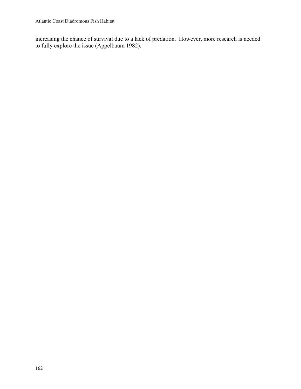increasing the chance of survival due to a lack of predation. However, more research is needed to fully explore the issue (Appelbaum 1982).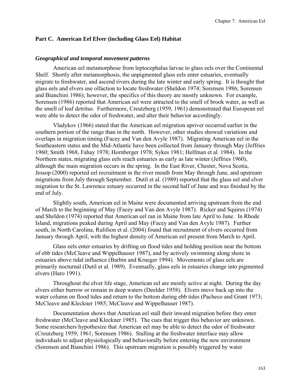#### **Part C. American Eel Elver (including Glass Eel) Habitat**

#### *Geographical and temporal movement patterns*

American eel metamorphose from leptocephalus larvae to glass eels over the Continental Shelf. Shortly after metamorphosis, the unpigmented glass eels enter estuaries, eventually migrate to freshwater, and ascend rivers during the late winter and early spring. It is thought that glass eels and elvers use olfaction to locate freshwater (Sheldon 1974; Sorensen 1986; Sorensen and Bianchini 1986); however, the specifics of this theory are mostly unknown. For example, Sorensen (1986) reported that American eel were attracted to the smell of brook water, as well as the smell of leaf detritus. Furthermore, Creutzberg (1959, 1961) demonstrated that European eel were able to detect the odor of freshwater, and alter their behavior accordingly.

Vladykov (1966) stated that the American eel migration upriver occurred earlier in the southern portion of the range than in the north. However, other studies showed variations and overlaps in migration timing (Facey and Van den Avyle 1987). Migrating American eel in the Southeastern states and the Mid-Atlantic have been collected from January through May (Jeffries 1960; Smith 1968, Fahay 1978; Hornberger 1978; Sykes 1981; Helfman et al. 1984). In the Northern states, migrating glass eels reach estuaries as early as late winter (Jeffries 1960), although the main migration occurs in the spring. In the East River, Chester, Nova Scotia, Jessop (2000) reported eel recruitment in the river mouth from May through June, and upstream migrations from July through September. Dutil et al. (1989) reported that the glass eel and elver migration to the St. Lawrence estuary occurred in the second half of June and was finished by the end of July.

Slightly south, American eel in Maine were documented arriving upstream from the end of March to the beginning of May (Facey and Van den Avyle 1987). Ricker and Squires (1974) and Sheldon (1974) reported that American eel ran in Maine from late April to June. In Rhode Island, migrations peaked during April and May (Facey and Van den Avyle 1987). Further south, in North Carolina, Rulifson et al. (2004) found that recruitment of elvers occurred from January through April, with the highest density of American eel present from March to April.

Glass eels enter estuaries by drifting on flood tides and holding position near the bottom of ebb tides (McCleave and Wippelhauser 1987), and by actively swimming along shore in estuaries above tidal influence (Barbin and Krueger 1994). Movements of glass eels are primarily nocturnal (Dutil et al. 1989). Eventually, glass eels in estuaries change into pigmented elvers (Haro 1991).

Throughout the elver life stage, American eel are mostly active at night. During the day elvers either burrow or remain in deep waters (Deelder 1958). Elvers move back up into the water column on flood tides and return to the bottom during ebb tides (Pacheco and Grant 1973; McCleave and Kleckner 1985; McCleave and Wippelhauser 1987).

Documentation shows that American eel stall their inward migration before they enter freshwater (McCleave and Kleckner 1985). The cues that trigger this behavior are unknown. Some researchers hypothesize that American eel may be able to detect the odor of freshwater (Creutzberg 1959, 1961; Sorensen 1986). Stalling at the freshwater interface may allow individuals to adjust physiologically and behaviorally before entering the new environment (Sorensen and Bianchini 1986). This upstream migration is possibly triggered by water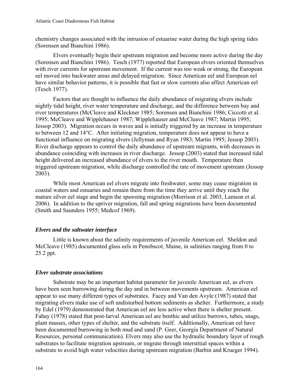chemistry changes associated with the intrusion of estuarine water during the high spring tides (Sorensen and Bianchini 1986).

Elvers eventually begin their upstream migration and become more active during the day (Sorensen and Bianchini 1986). Tesch (1977) reported that European elvers oriented themselves with river currents for upstream movement. If the current was too weak or strong, the European eel moved into backwater areas and delayed migration. Since American eel and European eel have similar behavior patterns, it is possible that fast or slow currents also affect American eel (Tesch 1977).

Factors that are thought to influence the daily abundance of migrating elvers include nightly tidal height, river water temperature and discharge, and the difference between bay and river temperatures (McCleave and Kleckner 1985; Sorensen and Bianchini 1986; Ciccotti et al. 1995; McCleave and Wipplehauser 1987; Wipplehauser and McCleave 1987; Martin 1995; Jessop 2003). Migration occurs in waves and is initially triggered by an increase in temperature to between 12 and 14°C. After initiating migration, temperature does not appear to have a functional influence on migrating elvers (Jellyman and Ryan 1983; Martin 1995; Jessop 2003). River discharge appears to control the daily abundance of upstream migrants, with decreases in abundance coinciding with increases in river discharge. Jessop (2003) stated that increased tidal height delivered an increased abundance of elvers to the river mouth. Temperature then triggered upstream migration, while discharge controlled the rate of movement upstream (Jessop 2003).

While most American eel elvers migrate into freshwater, some may cease migration in coastal waters and estuaries and remain there from the time they arrive until they reach the mature silver eel stage and begin the spawning migration (Morrison et al. 2003, Lamson et al. 2006). In addition to the upriver migration, fall and spring migrations have been documented (Smith and Saunders 1955; Medcof 1969).

# *Elvers and the saltwater interface*

Little is known about the salinity requirements of juvenile American eel. Sheldon and McCleave (1985) documented glass eels in Penobscot, Maine, in salinities ranging from 0 to 25.2 ppt.

# *Elver substrate associations*

Substrate may be an important habitat parameter for juvenile American eel, as elvers have been seen burrowing during the day and in between movements upstream. American eel appear to use many different types of substrates. Facey and Van den Avyle (1987) stated that migrating elvers make use of soft undisturbed bottom sediments as shelter. Furthermore, a study by Edel (1979) demonstrated that American eel are less active when there is shelter present. Fahay (1978) stated that post-larval American eel are benthic and utilize burrows, tubes, snags, plant masses, other types of shelter, and the substrate itself. Additionally, American eel have been documented burrowing in both mud and sand (P. Geer, Georgia Department of Natural Resources, personal communication). Elvers may also use the hydraulic boundary layer of rough substrates to facilitate migration upstream, or migrate through interstitial spaces within a substrate to avoid high water velocities during upstream migration (Barbin and Krueger 1994).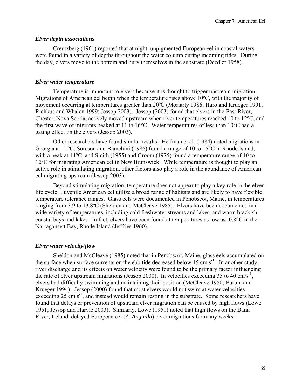## *Elver depth associations*

Creutzberg (1961) reported that at night, unpigmented European eel in coastal waters were found in a variety of depths throughout the water column during incoming tides. During the day, elvers move to the bottom and bury themselves in the substrate (Deedler 1958).

# *Elver water temperature*

Temperature is important to elvers because it is thought to trigger upstream migration. Migrations of American eel begin when the temperature rises above 10ºC, with the majority of movement occurring at temperatures greater than 20ºC (Moriarty 1986; Haro and Krueger 1991; Richkus and Whalen 1999; Jessop 2003). Jessop (2003) found that elvers in the East River, Chester, Nova Scotia, actively moved upstream when river temperatures reached 10 to 12°C, and the first wave of migrants peaked at 11 to 16°C. Water temperatures of less than 10°C had a gating effect on the elvers (Jessop 2003).

Other researchers have found similar results. Helfman et al. (1984) noted migrations in Georgia at 11°C, Soreson and Bianchini (1986) found a range of 10 to 15°C in Rhode Island, with a peak at 14<sup>o</sup>C, and Smith (1955) and Groom (1975) found a temperature range of 10 to 12°C for migrating American eel in New Brunswick. While temperature is thought to play an active role in stimulating migration, other factors also play a role in the abundance of American eel migrating upstream (Jessop 2003).

Beyond stimulating migration, temperature does not appear to play a key role in the elver life cycle. Juvenile American eel utilize a broad range of habitats and are likely to have flexible temperature tolerance ranges. Glass eels were documented in Penobscot, Maine, in temperatures ranging from 3.9 to 13.8ºC (Sheldon and McCleave 1985).Elvers have been documented in a wide variety of temperatures, including cold freshwater streams and lakes, and warm brackish coastal bays and lakes. In fact, elvers have been found at temperatures as low as -0.8°C in the Narragansett Bay, Rhode Island (Jeffries 1960).

# *Elver water velocity/flow*

Sheldon and McCleave (1985) noted that in Penobscot, Maine, glass eels accumulated on the surface when surface currents on the ebb tide decreased below 15 cm·s-1.In another study, river discharge and its effects on water velocity were found to be the primary factor influencing the rate of elver upstream migrations (Jessop 2000). In velocities exceeding 35 to 40 cm·s<sup>-1</sup>, elvers had difficulty swimming and maintaining their position (McCleave 1980; Barbin and Krueger 1994). Jessop (2000) found that most elvers would not swim at water velocities exceeding  $25 \text{ cm·s}^{-1}$ , and instead would remain resting in the substrate. Some researchers have found that delays or prevention of upstream elver migration can be caused by high flows (Lowe 1951; Jessop and Harvie 2003). Similarly, Lowe (1951) noted that high flows on the Bann River, Ireland, delayed European eel (*A. Anguilla*) elver migrations for many weeks.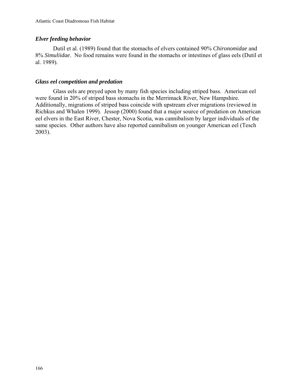# *Elver feeding behavior*

Dutil et al. (1989) found that the stomachs of elvers contained 90% *Chironomidae* and 8% *Simuliidae*. No food remains were found in the stomachs or intestines of glass eels (Dutil et al. 1989).

# *Glass eel competition and predation*

Glass eels are preyed upon by many fish species including striped bass. American eel were found in 20% of striped bass stomachs in the Merrimack River, New Hampshire. Additionally, migrations of striped bass coincide with upstream elver migrations (reviewed in Richkus and Whalen 1999). Jessop (2000) found that a major source of predation on American eel elvers in the East River, Chester, Nova Scotia, was cannibalism by larger individuals of the same species. Other authors have also reported cannibalism on younger American eel (Tesch 2003).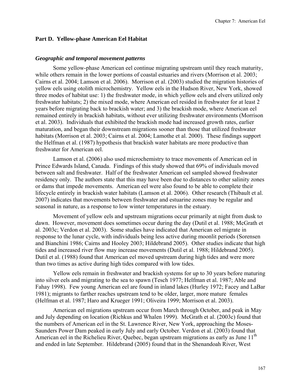#### **Part D. Yellow-phase American Eel Habitat**

#### *Geographic and temporal movement patterns*

Some yellow-phase American eel continue migrating upstream until they reach maturity, while others remain in the lower portions of coastal estuaries and rivers (Morrison et al. 2003; Cairns et al. 2004; Lamson et al. 2006). Morrison et al. (2003) studied the migration histories of yellow eels using otolith microchemistry. Yellow eels in the Hudson River, New York, showed three modes of habitat use: 1) the freshwater mode, in which yellow eels and elvers utilized only freshwater habitats; 2) the mixed mode, where American eel resided in freshwater for at least 2 years before migrating back to brackish water; and 3) the brackish mode, where American eel remained entirely in brackish habitats, without ever utilizing freshwater environments (Morrison et al. 2003). Individuals that exhibited the brackish mode had increased growth rates, earlier maturation, and began their downstream migrations sooner than those that utilized freshwater habitats (Morrison et al. 2003; Cairns et al. 2004; Lamothe et al. 2000). These findings support the Helfman et al. (1987) hypothesis that brackish water habitats are more productive than freshwater for American eel.

Lamson et al. (2006) also used microchemistry to trace movements of American eel in Prince Edwards Island, Canada. Findings of this study showed that 69% of individuals moved between salt and freshwater. Half of the freshwater American eel sampled showed freshwater residency only. The authors state that this may have been due to distances to other salinity zones or dams that impede movements. American eel were also found to be able to complete their lifecycle entirely in brackish water habitats (Lamson et al. 2006). Other research (Thibault et al. 2007) indicates that movements between freshwater and estuarine zones may be regular and seasonal in nature, as a response to low winter temperatures in the estuary.

Movement of yellow eels and upstream migrations occur primarily at night from dusk to dawn. However, movement does sometimes occur during the day (Dutil et al. 1988; McGrath et al. 2003c; Verdon et al. 2003). Some studies have indicated that American eel migrate in response to the lunar cycle, with individuals being less active during moonlit periods (Sorensen and Bianchini 1986; Cairns and Hooley 2003; Hildebrand 2005). Other studies indicate that high tides and increased river flow may increase movements (Dutil et al. 1988; Hildebrand 2005). Dutil et al. (1988) found that American eel moved upstream during high tides and were more than two times as active during high tides compared with low tides.

Yellow eels remain in freshwater and brackish systems for up to 30 years before maturing into silver eels and migrating to the sea to spawn (Tesch 1977; Helfman et al. 1987; Able and Fahay 1998). Few young American eel are found in inland lakes (Hurley 1972; Facey and LaBar 1981); migrants to farther reaches upstream tend to be older, larger, more mature females (Helfman et al. 1987; Haro and Krueger 1991; Oliveira 1999; Morrison et al. 2003).

American eel migrations upstream occur from March through October, and peak in May and July depending on location (Richkus and Whalen 1999). McGrath et al. (2003c) found that the numbers of American eel in the St. Lawrence River, New York, approaching the Moses-Saunders Power Dam peaked in early July and early October. Verdon et al. (2003) found that American eel in the Richelieu River, Quebec, began upstream migrations as early as June 11<sup>th</sup> and ended in late September. Hildebrand (2005) found that in the Shenandoah River, West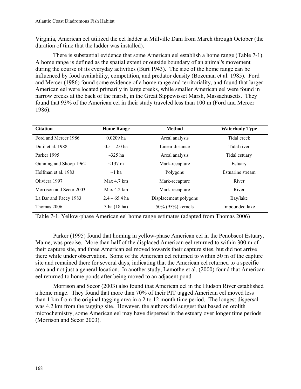Virginia, American eel utilized the eel ladder at Millville Dam from March through October (the duration of time that the ladder was installed).

There is substantial evidence that some American eel establish a home range (Table 7-1). A home range is defined as the spatial extent or outside boundary of an animal's movement during the course of its everyday activities (Burt 1943). The size of the home range can be influenced by food availability, competition, and predator density (Bozeman et al. 1985). Ford and Mercer (1986) found some evidence of a home range and territoriality, and found that larger American eel were located primarily in large creeks, while smaller American eel were found in narrow creeks at the back of the marsh, in the Great Sippewisset Marsh, Massachusetts. They found that 93% of the American eel in their study traveled less than 100 m (Ford and Mercer 1986).

| <b>Citation</b>         | <b>Home Range</b> | <b>Method</b>         | <b>Waterbody Type</b> |
|-------------------------|-------------------|-----------------------|-----------------------|
| Ford and Mercer 1986    | $0.0209$ ha       | Areal analysis        | Tidal creek           |
| Dutil et al. 1988       | $0.5 - 2.0$ ha    | Linear distance       | Tidal river           |
| Parker 1995             | $\sim$ 325 ha     | Areal analysis        | Tidal estuary         |
| Gunning and Shoop 1962  | $<$ 137 m         | Mark-recapture        | Estuary               |
| Helfman et al. 1983     | $\sim$ 1 ha       | Polygons              | Estuarine stream      |
| Oliviera 1997           | Max 4.7 km        | Mark-recapture        | River                 |
| Morrison and Secor 2003 | Max 4.2 km        | Mark-recapture        | River                 |
| La Bar and Facey 1983   | $2.4 - 65.4$ ha   | Displacement polygons | Bay/lake              |
| Thomas 2006             | 3 ha (18 ha)      | 50% (95%) kernels     | Impounded lake        |

Table 7-1. Yellow-phase American eel home range estimates (adapted from Thomas 2006)

Parker (1995) found that homing in yellow-phase American eel in the Penobscot Estuary, Maine, was precise. More than half of the displaced American eel returned to within 300 m of their capture site, and three American eel moved towards their capture sites, but did not arrive there while under observation. Some of the American eel returned to within 50 m of the capture site and remained there for several days, indicating that the American eel returned to a specific area and not just a general location. In another study, Lamothe et al. (2000) found that American eel returned to home ponds after being moved to an adjacent pond.

Morrison and Secor (2003) also found that American eel in the Hudson River established a home range. They found that more than 70% of their PIT tagged American eel moved less than 1 km from the original tagging area in a 2 to 12 month time period. The longest dispersal was 4.2 km from the tagging site. However, the authors did suggest that based on otolith microchemistry, some American eel may have dispersed in the estuary over longer time periods (Morrison and Secor 2003).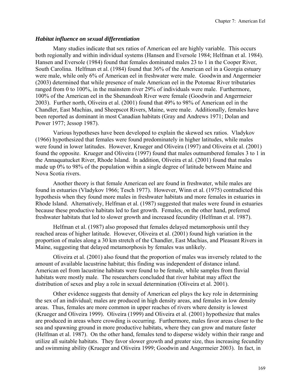#### *Habitat influence on sexual differentiation*

Many studies indicate that sex ratios of American eel are highly variable. This occurs both regionally and within individual systems (Hansen and Eversole 1984; Helfman et al. 1984). Hansen and Eversole (1984) found that females dominated males 23 to 1 in the Cooper River, South Carolina. Helfman et al. (1984) found that 36% of the American eel in a Georgia estuary were male, while only 6% of American eel in freshwater were male. Goodwin and Angermeier (2003) determined that while presence of male American eel in the Potomac River tributaries ranged from 0 to 100%, in the mainstem river 29% of individuals were male. Furthermore, 100% of the American eel in the Shenandoah River were female (Goodwin and Angermeier 2003). Further north, Oliveira et al. (2001) found that 49% to 98% of American eel in the Chandler, East Machias, and Sheepscot Rivers, Maine, were male. Additionally, females have been reported as dominant in most Canadian habitats (Gray and Andrews 1971; Dolan and Power 1977; Jessop 1987).

Various hypotheses have been developed to explain the skewed sex ratios. Vladykov (1966) hypothesized that females were found predominately in higher latitudes, while males were found in lower latitudes. However, Krueger and Oliveira (1997) and Oliveira et al. (2001) found the opposite. Krueger and Oliveira (1997) found that males outnumbered females 3 to 1 in the Annaquatucket River, Rhode Island. In addition, Oliveira et al. (2001) found that males made up 0% to 98% of the population within a single degree of latitude between Maine and Nova Scotia rivers.

Another theory is that female American eel are found in freshwater, while males are found in estuaries (Vladykov 1966; Tesch 1977). However, Winn et al. (1975) contradicted this hypothesis when they found more males in freshwater habitats and more females in estuaries in Rhode Island. Alternatively, Helfman et al. (1987) suggested that males were found in estuaries because these productive habitats led to fast growth. Females, on the other hand, preferred freshwater habitats that led to slower growth and increased fecundity (Helfman et al. 1987).

Helfman et al. (1987) also proposed that females delayed metamorphosis until they reached areas of higher latitude. However, Oliveira et al. (2001) found high variation in the proportion of males along a 30 km stretch of the Chandler, East Machias, and Pleasant Rivers in Maine, suggesting that delayed metamorphosis by females was unlikely.

Oliveira et al. (2001) also found that the proportion of males was inversely related to the amount of available lacustrine habitat; this finding was independent of distance inland. American eel from lacustrine habitats were found to be female, while samples from fluvial habitats were mostly male. The researchers concluded that river habitat may affect the distribution of sexes and play a role in sexual determination (Oliveira et al. 2001).

Other evidence suggests that density of American eel plays the key role in determining the sex of an individual; males are produced in high density areas, and females in low density areas. Thus, females are more common in upper reaches of rivers where density is lowest (Krueger and Oliveira 1999). Oliveira (1999) and Oliveira et al. (2001) hypothesize that males are produced in areas where crowding is occurring. Furthermore, males favor areas closer to the sea and spawning ground in more productive habitats, where they can grow and mature faster (Helfman et al. 1987). On the other hand, females tend to disperse widely within their range and utilize all suitable habitats. They favor slower growth and greater size, thus increasing fecundity and swimming ability (Krueger and Oliveira 1999; Goodwin and Angermeier 2003). In fact, in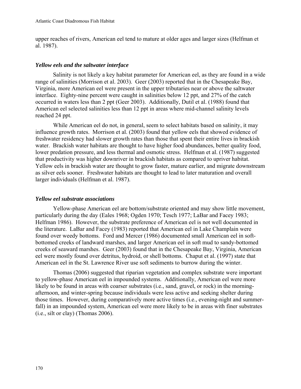upper reaches of rivers, American eel tend to mature at older ages and larger sizes (Helfman et al. 1987).

## *Yellow eels and the saltwater interface*

Salinity is not likely a key habitat parameter for American eel, as they are found in a wide range of salinities (Morrison et al. 2003). Geer (2003) reported that in the Chesapeake Bay, Virginia, more American eel were present in the upper tributaries near or above the saltwater interface. Eighty-nine percent were caught in salinities below 12 ppt, and 27% of the catch occurred in waters less than 2 ppt (Geer 2003). Additionally, Dutil et al. (1988) found that American eel selected salinities less than 12 ppt in areas where mid-channel salinity levels reached 24 ppt.

While American eel do not, in general, seem to select habitats based on salinity, it may influence growth rates. Morrison et al. (2003) found that yellow eels that showed evidence of freshwater residency had slower growth rates than those that spent their entire lives in brackish water. Brackish water habitats are thought to have higher food abundances, better quality food, lower predation pressure, and less thermal and osmotic stress. Helfman et al. (1987) suggested that productivity was higher downriver in brackish habitats as compared to upriver habitat. Yellow eels in brackish water are thought to grow faster, mature earlier, and migrate downstream as silver eels sooner. Freshwater habitats are thought to lead to later maturation and overall larger individuals (Helfman et al. 1987).

# *Yellow eel substrate associations*

Yellow-phase American eel are bottom/substrate oriented and may show little movement, particularly during the day (Eales 1968; Ogden 1970; Tesch 1977; LaBar and Facey 1983; Helfman 1986). However, the substrate preference of American eel is not well documented in the literature. LaBar and Facey (1983) reported that American eel in Lake Champlain were found over weedy bottoms. Ford and Mercer (1986) documented small American eel in softbottomed creeks of landward marshes, and larger American eel in soft mud to sandy-bottomed creeks of seaward marshes. Geer (2003) found that in the Chesapeake Bay, Virginia, American eel were mostly found over detritus, hydroid, or shell bottoms. Chaput et al. (1997) state that American eel in the St. Lawrence River use soft sediments to burrow during the winter.

Thomas (2006) suggested that riparian vegetation and complex substrate were important to yellow-phase American eel in impounded systems. Additionally, American eel were more likely to be found in areas with coarser substrates (i.e., sand, gravel, or rock) in the morningafternoon, and winter-spring because individuals were less active and seeking shelter during those times. However, during comparatively more active times (i.e., evening-night and summerfall) in an impounded system, American eel were more likely to be in areas with finer substrates (i.e., silt or clay) (Thomas 2006).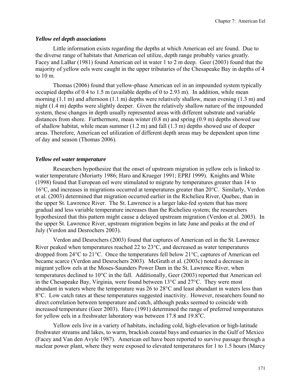#### *Yellow eel depth associations*

Little information exists regarding the depths at which American eel are found. Due to the diverse range of habitats that American eel utilize, depth range probably varies greatly. Facey and LaBar (1981) found American eel in water 1 to 2 m deep. Geer (2003) found that the majority of yellow eels were caught in the upper tributaries of the Chesapeake Bay in depths of 4 to 10 m.

Thomas (2006) found that yellow-phase American eel in an impounded system typically occupied depths of 0.4 to 1.5 m (available depths of 0 to 2.93 m). In addition, while mean morning (1.1 m) and afternoon (1.1 m) depths were relatively shallow, mean evening (1.3 m) and night (1.4 m) depths were slightly deeper. Given the relatively shallow nature of the impounded system, these changes in depth usually represented areas with different substrate and variable distances from shore. Furthermore, mean winter (0.8 m) and spring (0.9 m) depths showed use of shallow habitat, while mean summer (1.2 m) and fall (1.3 m) depths showed use of deeper areas. Therefore, American eel utilization of different depth areas may be dependent upon time of day and season (Thomas 2006).

#### *Yellow eel water temperature*

Researchers hypothesize that the onset of upstream migration in yellow eels is linked to water temperature (Moriarty 1986; Haro and Krueger 1991; EPRI 1999). Knights and White (1998) found that European eel were stimulated to migrate by temperatures greater than 14 to 16°C, and increases in migrations occurred at temperatures greater than 20°C. Similarly, Verdon et al. (2003) determined that migration occurred earlier in the Richelieu River, Quebec, than in the upper St. Lawrence River. The St. Lawrence is a larger lake-fed system that has more gradual and less variable temperature increases than the Richelieu system; the researchers hypothesized that this pattern might cause a delayed upstream migration (Verdon et al. 2003). In the upper St. Lawrence River, upstream migration begins in late June and peaks at the end of July (Verdon and Desrochers 2003).

Verdon and Desrochers (2003) found that captures of American eel in the St. Lawrence River peaked when temperatures reached 22 to 23°C, and decreased as water temperatures dropped from 24°C to 21°C. Once the temperatures fell below 21°C, captures of American eel became scarce (Verdon and Desrochers 2003). McGrath et al. (2003c) noted a decrease in migrant yellow eels at the Moses-Saunders Power Dam in the St. Lawrence River, when temperatures declined to 10°C in the fall. Additionally, Geer (2003) reported that American eel in the Chesapeake Bay, Virginia, were found between 13°C and 27°C. They were most abundant in waters where the temperature was 26 to 28°C and least abundant in waters less than 8°C. Low catch rates at these temperatures suggested inactivity. However, researchers found no direct correlation between temperature and catch, although peaks seemed to coincide with increased temperature (Geer 2003). Haro (1991) determined the range of preferred temperatures for yellow eels in a freshwater laboratory was between 17.8 and 19.8°C.

Yellow eels live in a variety of habitats, including cold, high-elevation or high-latitude freshwater streams and lakes, to warm, brackish coastal bays and estuaries in the Gulf of Mexico (Facey and Van den Avyle 1987). American eel have been reported to survive passage through a nuclear power plant, where they were exposed to elevated temperatures for 1 to 1.5 hours (Marcy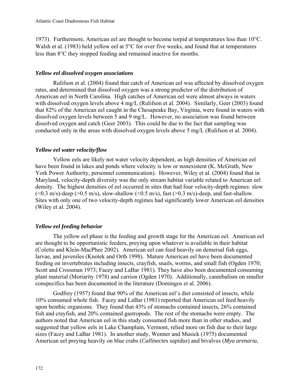1973). Furthermore, American eel are thought to become torpid at temperatures less than 10°C. Walsh et al. (1983) held yellow eel at 5<sup>o</sup>C for over five weeks, and found that at temperatures less than 8°C they stopped feeding and remained inactive for months.

# *Yellow eel dissolved oxygen associations*

Rulifson et al. (2004) found that catch of American eel was affected by dissolved oxygen rates, and determined that dissolved oxygen was a strong predictor of the distribution of American eel in North Carolina. High catches of American eel were almost always in waters with dissolved oxygen levels above 4 mg/L (Rulifson et al. 2004). Similarly, Geer (2003) found that 82% of the American eel caught in the Chesapeake Bay, Virginia, were found in waters with dissolved oxygen levels between 5 and 9 mg/L. However, no association was found between dissolved oxygen and catch (Geer 2003). This could be due to the fact that sampling was conducted only in the areas with dissolved oxygen levels above 5 mg/L (Rulifson et al. 2004).

# *Yellow eel water velocity/flow*

Yellow eels are likely not water velocity dependent, as high densities of American eel have been found in lakes and ponds where velocity is low or nonexistent (K. McGrath, New York Power Authority, personnel communication). However, Wiley et al. (2004) found that in Maryland, velocity-depth diversity was the only stream habitat variable related to American eel density. The highest densities of eel occurred in sites that had four velocity-depth regimes: slow  $(<0.3$  m/s)-deep ( $>0.5$  m/s), slow-shallow ( $<0.5$  m/s), fast ( $>0.3$  m/s)-deep, and fast-shallow. Sites with only one of two velocity-depth regimes had significantly lower American eel densities (Wiley et al. 2004).

# *Yellow eel feeding behavior*

The yellow eel phase is the feeding and growth stage for the American eel. American eel are thought to be opportunistic feeders, preying upon whatever is available in their habitat (Colette and Klein-MacPhee 2002). American eel can feed heavily on demersal fish eggs, larvae, and juveniles (Knotek and Orth 1998). Mature American eel have been documented feeding on invertebrates including insects, crayfish, snails, worms, and small fish (Ogden 1970; Scott and Crossman 1973; Facey and LaBar 1981). They have also been documented consuming plant material (Moriarity 1978) and carrion (Ogden 1970). Additionally, cannibalism on smaller conspecifics has been documented in the literature (Domingos et al. 2006).

Godfrey (1957) found that 90% of the American eel's diet consisted of insects, while 10% consumed whole fish. Facey and LaBar (1981) reported that American eel feed heavily upon benthic organisms. They found that 43% of stomachs contained insects, 26% contained fish and crayfish, and 20% contained gastropods. The rest of the stomachs were empty. The authors noted that American eel in this study consumed fish more than in other studies, and suggested that yellow eels in Lake Champlain, Vermont, relied more on fish due to their large sizes (Facey and LaBar 1981). In another study, Wenner and Musick (1975) documented American eel preying heavily on blue crabs (*Callinectes sapidus*) and bivalves (*Mya arenaria*,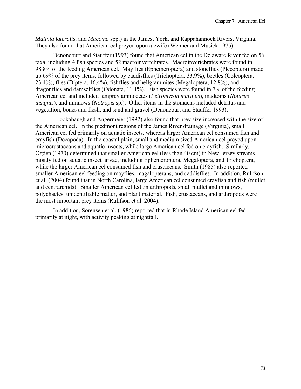*Mulinia lateralis*, and *Macoma* spp.) in the James, York, and Rappahannock Rivers, Virginia. They also found that American eel preyed upon alewife (Wenner and Musick 1975).

Denoncourt and Stauffer (1993) found that American eel in the Delaware River fed on 56 taxa, including 4 fish species and 52 macroinvertebrates. Macroinvertebrates were found in 98.8% of the feeding American eel. Mayflies (Ephemeroptera) and stoneflies (Plecoptera) made up 69% of the prey items, followed by caddisflies (Trichoptera, 33.9%), beetles (Coleoptera, 23.4%), flies (Diptera, 16.4%), fishflies and hellgrammites (Megaloptera, 12.8%), and dragonflies and damselflies (Odonata, 11.1%). Fish species were found in 7% of the feeding American eel and included lamprey ammocetes (*Petromyzon marinus*), madtoms (*Noturus insignis*), and minnows (*Notropis* sp.). Other items in the stomachs included detritus and vegetation, bones and flesh, and sand and gravel (Denoncourt and Stauffer 1993).

 Lookabaugh and Angermeier (1992) also found that prey size increased with the size of the American eel. In the piedmont regions of the James River drainage (Virginia), small American eel fed primarily on aquatic insects, whereas larger American eel consumed fish and crayfish (Decapoda). In the coastal plain, small and medium sized American eel preyed upon microcrustaceans and aquatic insects, while large American eel fed on crayfish. Similarly, Ogden (1970) determined that smaller American eel (less than 40 cm) in New Jersey streams mostly fed on aquatic insect larvae, including Ephemeroptera, Megaloptera, and Trichoptera, while the larger American eel consumed fish and crustaceans. Smith (1985) also reported smaller American eel feeding on mayflies, magalopterans, and caddisflies. In addition, Rulifson et al. (2004) found that in North Carolina, large American eel consumed crayfish and fish (mullet and centrarchids). Smaller American eel fed on arthropods, small mullet and minnows, polychaetes, unidentifiable matter, and plant material. Fish, crustaceans, and arthropods were the most important prey items (Rulifson et al. 2004).

In addition, Sorensen et al. (1986) reported that in Rhode Island American eel fed primarily at night, with activity peaking at nightfall.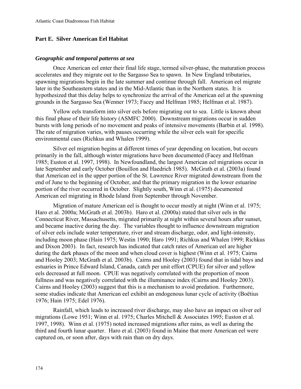## **Part E. Silver American Eel Habitat**

#### *Geographic and temporal patterns at sea*

Once American eel enter their final life stage, termed silver-phase, the maturation process accelerates and they migrate out to the Sargasso Sea to spawn. In New England tributaries, spawning migrations begin in the late summer and continue through fall. American eel migrate later in the Southeastern states and in the Mid-Atlantic than in the Northern states. It is hypothesized that this delay helps to synchronize the arrival of the American eel at the spawning grounds in the Sargasso Sea (Wenner 1973; Facey and Helfman 1985; Helfman et al. 1987).

Yellow eels transform into silver eels before migrating out to sea. Little is known about this final phase of their life history (ASMFC 2000). Downstream migrations occur in sudden bursts with long periods of no movement and peaks of intensive movements (Barbin et al. 1998). The rate of migration varies, with pauses occurring while the silver eels wait for specific environmental cues (Richkus and Whalen 1999).

Silver eel migration begins at different times of year depending on location, but occurs primarily in the fall, although winter migrations have been documented (Facey and Helfman 1985; Euston et al. 1997, 1998). In Newfoundland, the largest American eel migrations occur in late September and early October (Bouillon and Haedrich 1985). McGrath et al. (2003a) found that American eel in the upper portion of the St. Lawrence River migrated downstream from the end of June to the beginning of October, and that the primary migration in the lower estuarine portion of the river occurred in October. Slightly south, Winn et al. (1975) documented American eel migrating in Rhode Island from September through November.

Migration of mature American eel is thought to occur mostly at night (Winn et al. 1975; Haro et al. 2000a; McGrath et al. 2003b). Haro et al. (2000a) stated that silver eels in the Connecticut River, Massachusetts, migrated primarily at night within several hours after sunset, and became inactive during the day. The variables thought to influence downstream migration of silver eels include water temperature, river and stream discharge, odor, and light-intensity, including moon phase (Hain 1975; Westin 1990; Haro 1991; Richkus and Whalen 1999; Richkus and Dixon 2003). In fact, research has indicated that catch rates of American eel are higher during the dark phases of the moon and when cloud cover is highest (Winn et al. 1975; Cairns and Hooley 2003; McGrath et al. 2003b). Cairns and Hooley (2003) found that in tidal bays and estuaries in Prince Edward Island, Canada, catch per unit effort (CPUE) for silver and yellow eels decreased at full moon. CPUE was negatively correlated with the proportion of moon fullness and was negatively correlated with the illuminance index (Cairns and Hooley 2003). Cairns and Hooley (2003) suggest that this is a mechanism to avoid predation. Furthermore, some studies indicate that American eel exhibit an endogenous lunar cycle of activity (Boёtius 1976; Hain 1975; Edel 1976).

Rainfall, which leads to increased river discharge, may also have an impact on silver eel migrations (Lowe 1951; Winn et al. 1975; Charles Mitchell & Associates 1995; Euston et al. 1997, 1998). Winn et al. (1975) noted increased migrations after rains, as well as during the third and fourth lunar quarter. Haro et al. (2003) found in Maine that more American eel were captured on, or soon after, days with rain than on dry days.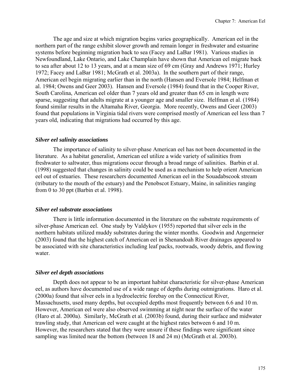The age and size at which migration begins varies geographically. American eel in the northern part of the range exhibit slower growth and remain longer in freshwater and estuarine systems before beginning migration back to sea (Facey and LaBar 1981). Various studies in Newfoundland, Lake Ontario, and Lake Champlain have shown that American eel migrate back to sea after about 12 to 13 years, and at a mean size of 69 cm (Gray and Andrews 1971; Hurley 1972; Facey and LaBar 1981; McGrath et al. 2003a). In the southern part of their range, American eel begin migrating earlier than in the north (Hansen and Eversole 1984; Helfman et al. 1984; Owens and Geer 2003). Hansen and Eversole (1984) found that in the Cooper River, South Carolina, American eel older than 7 years old and greater than 65 cm in length were sparse, suggesting that adults migrate at a younger age and smaller size. Helfman et al. (1984) found similar results in the Altamaha River, Georgia. More recently, Owens and Geer (2003) found that populations in Virginia tidal rivers were comprised mostly of American eel less than 7 years old, indicating that migrations had occurred by this age.

#### *Silver eel salinity associations*

The importance of salinity to silver-phase American eel has not been documented in the literature. As a habitat generalist, American eel utilize a wide variety of salinities from freshwater to saltwater, thus migrations occur through a broad range of salinities. Barbin et al. (1998) suggested that changes in salinity could be used as a mechanism to help orient American eel out of estuaries. These researchers documented American eel in the Souadabscook stream (tributary to the mouth of the estuary) and the Penobscot Estuary, Maine, in salinities ranging from 0 to 30 ppt (Barbin et al. 1998).

#### *Silver eel substrate associations*

There is little information documented in the literature on the substrate requirements of silver-phase American eel. One study by Valdykov (1955) reported that silver eels in the northern habitats utilized muddy substrates during the winter months. Goodwin and Angermeier (2003) found that the highest catch of American eel in Shenandoah River drainages appeared to be associated with site characteristics including leaf packs, rootwads, woody debris, and flowing water.

#### *Silver eel depth associations*

Depth does not appear to be an important habitat characteristic for silver-phase American eel, as authors have documented use of a wide range of depths during outmigrations. Haro et al. (2000a) found that silver eels in a hydroelectric forebay on the Connecticut River, Massachusetts, used many depths, but occupied depths most frequently between 6.6 and 10 m. However, American eel were also observed swimming at night near the surface of the water (Haro et al. 2000a). Similarly, McGrath et al. (2003b) found, during their surface and midwater trawling study, that American eel were caught at the highest rates between 6 and 10 m. However, the researchers stated that they were unsure if these findings were significant since sampling was limited near the bottom (between 18 and 24 m) (McGrath et al. 2003b).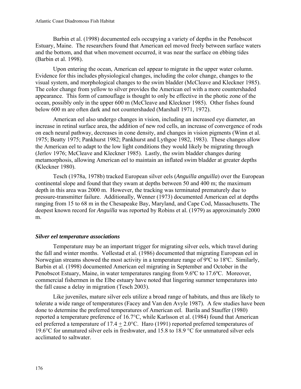Barbin et al. (1998) documented eels occupying a variety of depths in the Penobscot Estuary, Maine. The researchers found that American eel moved freely between surface waters and the bottom, and that when movement occurred, it was near the surface on ebbing tides (Barbin et al. 1998).

Upon entering the ocean, American eel appear to migrate in the upper water column. Evidence for this includes physiological changes, including the color change, changes to the visual system, and morphological changes to the swim bladder (McCleave and Kleckner 1985). The color change from yellow to silver provides the American eel with a more countershaded appearance. This form of camouflage is thought to only be effective in the photic zone of the ocean, possibly only in the upper 600 m (McCleave and Kleckner 1985). Other fishes found below 600 m are often dark and not countershaded (Marshall 1971, 1972).

American eel also undergo changes in vision, including an increased eye diameter, an increase in retinal surface area, the addition of new rod cells, an increase of convergence of rods on each neural pathway, decreases in cone density, and changes in vision pigments (Winn et al. 1975; Beatty 1975; Pankhurst 1982; Pankhurst and Lythgoe 1982, 1983). These changes allow the American eel to adapt to the low light conditions they would likely be migrating through (Jerlov 1976; McCleave and Kleckner 1985). Lastly, the swim bladder changes during metamorphosis, allowing American eel to maintain an inflated swim bladder at greater depths (Kleckner 1980).

Tesch (1978a, 1978b) tracked European silver eels (*Anguilla anguilla*) over the European continental slope and found that they swam at depths between 50 and 400 m; the maximum depth in this area was 2000 m. However, the tracking was terminated prematurely due to pressure-transmitter failure. Additionally, Wenner (1973) documented American eel at depths ranging from 15 to 68 m in the Chesapeake Bay, Maryland, and Cape Cod, Massachusetts. The deepest known record for *Anguilla* was reported by Robins et al. (1979) as approximately 2000 m.

# *Silver eel temperature associations*

Temperature may be an important trigger for migrating silver eels, which travel during the fall and winter months. Vøllestad et al. (1986) documented that migrating European eel in Norwegian streams showed the most activity in a temperature range of 9ºC to 18ºC. Similarly, Barbin et al. (1998) documented American eel migrating in September and October in the Penobscot Estuary, Maine, in water temperatures ranging from 9.6ºC to 17.6ºC. Moreover, commercial fishermen in the Elbe estuary have noted that lingering summer temperatures into the fall cause a delay in migration (Tesch 2003).

Like juveniles, mature silver eels utilize a broad range of habitats, and thus are likely to tolerate a wide range of temperatures (Facey and Van den Avyle 1987). A few studies have been done to determine the preferred temperatures of American eel. Barila and Stauffer (1980) reported a temperature preference of 16.7°C, while Karlsson et al. (1984) found that American eel preferred a temperature of 17.4 + 2.0°C. Haro (1991) reported preferred temperatures of 19.6°C for unmatured silver eels in freshwater, and 15.8 to 18.9 °C for unmatured silver eels acclimated to saltwater.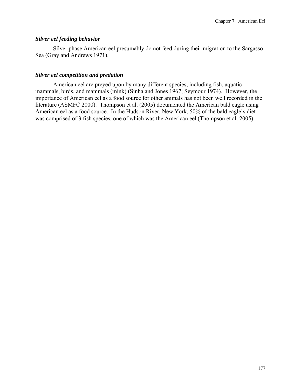## *Silver eel feeding behavior*

Silver phase American eel presumably do not feed during their migration to the Sargasso Sea (Gray and Andrews 1971).

# *Silver eel competition and predation*

American eel are preyed upon by many different species, including fish, aquatic mammals, birds, and mammals (mink) (Sinha and Jones 1967; Seymour 1974). However, the importance of American eel as a food source for other animals has not been well recorded in the literature (ASMFC 2000). Thompson et al. (2005) documented the American bald eagle using American eel as a food source. In the Hudson River, New York, 50% of the bald eagle's diet was comprised of 3 fish species, one of which was the American eel (Thompson et al. 2005).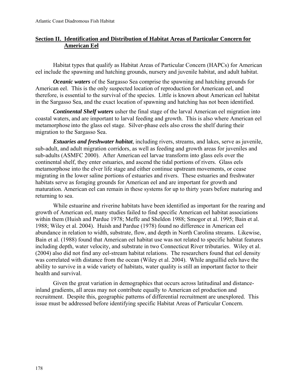# **Section II. Identification and Distribution of Habitat Areas of Particular Concern for American Eel**

Habitat types that qualify as Habitat Areas of Particular Concern (HAPCs) for American eel include the spawning and hatching grounds, nursery and juvenile habitat, and adult habitat.

*Oceanic waters* of the Sargasso Sea comprise the spawning and hatching grounds for American eel. This is the only suspected location of reproduction for American eel, and therefore, is essential to the survival of the species. Little is known about American eel habitat in the Sargasso Sea, and the exact location of spawning and hatching has not been identified.

*Continental Shelf waters* usher the final stage of the larval American eel migration into coastal waters, and are important to larval feeding and growth. This is also where American eel metamorphose into the glass eel stage. Silver-phase eels also cross the shelf during their migration to the Sargasso Sea.

*Estuaries and freshwater habitat*, including rivers, streams, and lakes, serve as juvenile, sub-adult, and adult migration corridors, as well as feeding and growth areas for juveniles and sub-adults (ASMFC 2000). After American eel larvae transform into glass eels over the continental shelf, they enter estuaries, and ascend the tidal portions of rivers. Glass eels metamorphose into the elver life stage and either continue upstream movements, or cease migrating in the lower saline portions of estuaries and rivers. These estuaries and freshwater habitats serve as foraging grounds for American eel and are important for growth and maturation. American eel can remain in these systems for up to thirty years before maturing and returning to sea.

While estuarine and riverine habitats have been identified as important for the rearing and growth of American eel, many studies failed to find specific American eel habitat associations within them (Huish and Pardue 1978; Meffe and Sheldon 1988; Smogor et al. 1995; Bain et al. 1988; Wiley et al. 2004). Huish and Pardue (1978) found no difference in American eel abundance in relation to width, substrate, flow, and depth in North Carolina streams. Likewise, Bain et al. (1988) found that American eel habitat use was not related to specific habitat features including depth, water velocity, and substrate in two Connecticut River tributaries. Wiley et al. (2004) also did not find any eel-stream habitat relations. The researchers found that eel density was correlated with distance from the ocean (Wiley et al. 2004). While anguillid eels have the ability to survive in a wide variety of habitats, water quality is still an important factor to their health and survival.

Given the great variation in demographics that occurs across latitudinal and distanceinland gradients, all areas may not contribute equally to American eel production and recruitment. Despite this, geographic patterns of differential recruitment are unexplored. This issue must be addressed before identifying specific Habitat Areas of Particular Concern.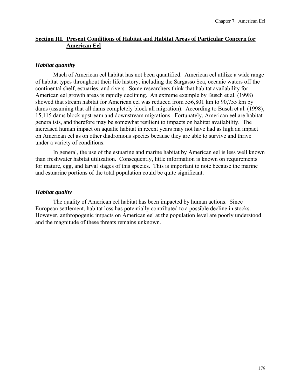# **Section III. Present Conditions of Habitat and Habitat Areas of Particular Concern for American Eel**

# *Habitat quantity*

Much of American eel habitat has not been quantified. American eel utilize a wide range of habitat types throughout their life history, including the Sargasso Sea, oceanic waters off the continental shelf, estuaries, and rivers. Some researchers think that habitat availability for American eel growth areas is rapidly declining. An extreme example by Busch et al. (1998) showed that stream habitat for American eel was reduced from 556,801 km to 90,755 km by dams (assuming that all dams completely block all migration). According to Busch et al. (1998), 15,115 dams block upstream and downstream migrations. Fortunately, American eel are habitat generalists, and therefore may be somewhat resilient to impacts on habitat availability. The increased human impact on aquatic habitat in recent years may not have had as high an impact on American eel as on other diadromous species because they are able to survive and thrive under a variety of conditions.

In general, the use of the estuarine and marine habitat by American eel is less well known than freshwater habitat utilization. Consequently, little information is known on requirements for mature, egg, and larval stages of this species. This is important to note because the marine and estuarine portions of the total population could be quite significant.

# *Habitat quality*

The quality of American eel habitat has been impacted by human actions. Since European settlement, habitat loss has potentially contributed to a possible decline in stocks. However, anthropogenic impacts on American eel at the population level are poorly understood and the magnitude of these threats remains unknown.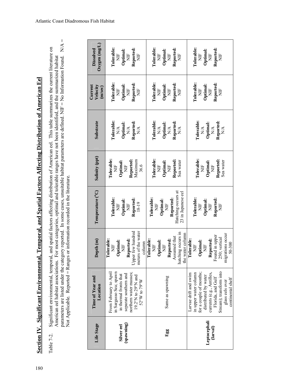**Section IV. Significant Environmental, Temporal, and Spatial Factors Affecting Distribution of American Eel** Section IV. Significant Environmental, Temporal, and Spatial Factors Affecting Distribution of American Eel

parameters are listed under the category reported. In some cases, unsuitable habitat parameters are defined. NIF = No Information Found. N/A = parameters are listed under the category reported. In some cases, unsuitable habitat parameters are defined. NIF = No Information Found. N/A = Significant environmental, temporal, and spatial factors affecting distribution of American eel. This table summarizes the current literature on<br>American eel habitat associations. For most categories, optimal and tolerable Table 7-2. Significant environmental, temporal, and spatial factors affecting distribution of American eel. This table summarizes the current literature on American eel habitat associations. For most categories, optimal and tolerable ranges have not been identified, and the summarized habitat Not Applicable. Reported = Ranges or information recorded in the literature. Not Applicable. Reported = Ranges or information recorded in the literature. Table 7-2.

| Life Stage   | Time of Year and<br>Location                   | Depth <sub>(m)</sub>                   | Temperature (°C)                         | Salinity (ppt)         | Substrate                           | Current<br>Velocity | Oxygen(mg/L)<br>Dissolved |
|--------------|------------------------------------------------|----------------------------------------|------------------------------------------|------------------------|-------------------------------------|---------------------|---------------------------|
|              | From February to April                         | Tolerable:                             |                                          | <b>Tolerable:</b>      |                                     | (m/sec)             |                           |
|              | in Sargasso Sea; spawn                         | Ë                                      | Tolerable:<br>Ë                          | $\frac{1}{2}$          | Tolerable:                          | Tolerable:<br>Ë     | Tolerable:                |
| Silver eel   | in thermal fronts that                         | Optimal:<br>Ë                          | Optimal:                                 | Optimal: $N\mathbb{H}$ | $\frac{N/A}{\text{Optimal}}$        | Optimal:            | Optimal:<br>È             |
| (spawning)   | separate southern and                          | Reported:                              | Ë                                        |                        | $\mathbb{N}\mathbb{A}$              | $\frac{1}{2}$       | $\frac{1}{2}$             |
|              | northern water masses;<br>19.2°N to 29°N and   | Upper few hundred                      | Reported:                                | Maximum<br>Reported:   | Reported                            | Reported:           | Reported:                 |
|              | 52°W to 79°W                                   | meters of the water<br>column          | 18-19                                    | 36.6                   | $N\mathbf{A}$                       | Ë                   | Ë                         |
|              |                                                | Tolerable:                             | Tolerable:                               |                        |                                     |                     |                           |
|              |                                                | Ë                                      | Ë                                        | Tolerable:             | Tolerable:                          | Tolerable:          | <b>Tolerable:</b>         |
|              |                                                | Optimal:                               | Optimal:                                 | Ë                      | $\frac{1}{N}$                       | Ì                   | Ë                         |
|              |                                                | Ë                                      | $\overline{H}$                           | Optimal:               | Optimal:                            | Optimal:            | Optimal:                  |
| Egg          | Same as spawning                               | Reported:                              |                                          | Ë                      | $\mathbb{N}\mathbb{A}$              | $\frac{1}{2}$       | Ë                         |
|              |                                                | Assumed that                           | Reported:                                | Reported:              | Reported                            | Reported            | Reported:                 |
|              |                                                | hatching occurs in<br>the water column | Hatching occurs at<br>23 in Japanese eel | Sea water              | $\mathbb{N}\mathbb{A}$              | E<br>Z              | È                         |
|              | Larvae drift and swim                          | Tolerable:                             |                                          |                        |                                     |                     |                           |
|              | in upper water column                          | Ì                                      | Tolerable:                               | <b>Tolerable:</b>      | <b>Tolerable:</b>                   | Tolerable:          | Tolerable:                |
|              | for a couple of months;                        | Optimal:                               | Ë                                        | Ż                      | $\frac{A}{N}$                       | $\frac{1}{2}$       | $\frac{1}{2}$             |
| Leptocephali | distributed by water                           | Ë                                      | Optimal:                                 |                        |                                     | Optimal:            | Optimal:                  |
| (larval)     |                                                | Reported:                              | Ë                                        | Optimal:<br>Ë          | Optimal:<br>$\mathbf{N} \mathbf{A}$ | $\overline{z}$      | $\frac{1}{2}$             |
|              | currents (e.g., Antilles,<br>Florida, and Gulf | Found in upper                         | Reported                                 |                        |                                     | Reported:           | Reported:                 |
|              | Stream); transform into                        | 250; vertical                          | Ë                                        | Reported:<br>Sea water | Reported<br>$\mathbb{N}\mathbb{A}$  | Ë                   | È                         |
|              | glass eels over                                | igrations occur<br>E                   |                                          |                        |                                     |                     |                           |
|              | continental shelf                              | 50-300                                 |                                          |                        |                                     |                     |                           |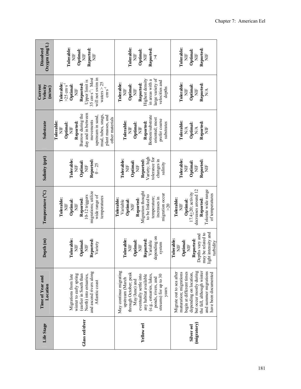| $Ox$ ygen (mg/L)<br><b>Dissolved</b> | Tolerable:<br>Reported:<br>Optimal:<br>Ž<br>Ž<br>Ë                                                                                                                                                           | Tolerable:<br>Reported:<br>Optimal:<br>Ë<br>Ë<br>X                                                                                                                                                                         | Tolerable:<br>Reported:<br>Optimal:<br>Ë<br>Ë<br>Ë                                                                                                                                                                |
|--------------------------------------|--------------------------------------------------------------------------------------------------------------------------------------------------------------------------------------------------------------|----------------------------------------------------------------------------------------------------------------------------------------------------------------------------------------------------------------------------|-------------------------------------------------------------------------------------------------------------------------------------------------------------------------------------------------------------------|
| Current<br>Velocity<br>(m/sec)       | will not swim in<br>35 cm·s <sup>-1</sup> : Most<br>Upper limit is<br>waters $> 25$<br>Reported:<br><b>Tolerable:</b><br>$>25$ cm $\cdot$ s <sup>-1</sup><br>Optimal:<br>$\mathrm{cm}\:\mathrm{s}^{-1}$<br>Ž | large variety of<br>Highest density<br>in areas with a<br>velocities and<br>Tolerable:<br>Reported:<br>Optimal:<br>depths<br>E<br>Ë                                                                                        | <b>Tolerable:</b><br>Reported:<br>Optimal:<br>Ë<br>Ë<br>$\frac{\mathsf{A}}{\mathsf{A}}$                                                                                                                           |
| Substrate                            | day and in between<br>Burrow during the<br>plant masses, and<br>mud, tubes, snags,<br>upstream in sand,<br>other materials<br>movements<br>Reported:<br>Tolerable:<br>Optimal:<br>Ë<br>Ë                     | Bottom/substrate<br>oriented; most<br>prefer coarse<br>Reported:<br>Tolerable:<br>substrates<br>Optimal:<br>Ë<br>E<br>Z                                                                                                    | Tolerable:<br>Reported:<br>Optimal:<br>$\stackrel{\triangle}{N}$<br>$\stackrel{\triangle}{N}$<br>Ë                                                                                                                |
| Salinity (ppt)                       | Tolerable:<br>Reported:<br>Optimal:<br>$0 - 25$<br>Ë<br>∃<br>Z                                                                                                                                               | Variety; high<br>tolerance for<br>Tolerable:<br>Reported:<br>changes in<br>Optimal:<br>salinity<br>Ë<br>Ë                                                                                                                  | Tolerable:<br>Reported:<br>Optimal:<br>È<br>Ë<br>Ë                                                                                                                                                                |
| Temperature <sup>(°C)</sup>          | migrations; utilize<br>wide range of<br>10-12 triggers<br>temperatures<br>Reported:<br>Tolerable:<br>Optimal:<br>Ë<br>Ë                                                                                      | Migration thought<br>migration occur<br>to be linked to<br>temperature;<br>increases in<br>Tolerable:<br>Reported:<br>Optimal:<br>Variable<br>Ë<br>>20                                                                     | decreases around 12<br>Tolerate wide range<br>17.4 $\pm$ 20; activity<br>of temperatures<br>Tolerable:<br><b>Reported:</b><br>Optimal:<br>È                                                                       |
| Depth <sub>(m)</sub>                 | Tolerable:<br>Reported:<br>Optimal:<br>Variety<br>Ë<br>Ž                                                                                                                                                     | depending on<br>Tolerable:<br>Reported:<br>Optimal:<br>Variable<br>system<br>Ë<br>Ë                                                                                                                                        | light intensity and<br>may be related to<br>bepths vary and<br>Reported:<br>Tolerable:<br>Optimal:<br>turbidity<br>Ë<br>Ë                                                                                         |
| Time of Year and<br>Location         | and ascend rivers along<br>winter to early spring<br>(earlier in South than<br>Migrations from late<br>North) into estuaries,<br>Atlantic coast                                                              | May continue migrating<br>through October; peak<br>eventually settle into<br>(e.g., estuaries, lakes,<br>any habitat available<br>streams) for up to 30<br>ponds, rivers, and<br>upstream (March<br>May/June) and<br>years | but occur mostly during<br>and summer migrations<br>the fall, although winter<br>Migrate out to sea after<br>maturation; migrations<br>begin at different times<br>depending on location,<br>have been documented |
| Life Stage                           | Glass eel/elver                                                                                                                                                                                              | <b>Yelloweel</b>                                                                                                                                                                                                           | (migratory)<br>Silver eel                                                                                                                                                                                         |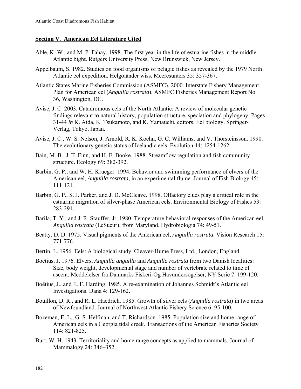# **Section V. American Eel Literature Cited**

- Able, K. W., and M. P. Fahay. 1998. The first year in the life of estuarine fishes in the middle Atlantic bight. Rutgers University Press, New Brunswick, New Jersey.
- Appelbaum, S. 1982. Studies on food organisms of pelagic fishes as revealed by the 1979 North Atlantic eel expedition. Helgoländer wiss. Meeresunters 35: 357-367.
- Atlantic States Marine Fisheries Commission (ASMFC). 2000. Interstate Fishery Management Plan for American eel (*Anguilla rostrata*). ASMFC Fisheries Management Report No. 36, Washington, DC.
- Avise, J. C. 2003. Catadromous eels of the North Atlantic: A review of molecular genetic findings relevant to natural history, population structure, speciation and phylogeny. Pages 31-44 *in* K. Aida, K. Tsukamoto, and K. Yamauchi, editors. Eel biology. Springer-Verlag, Tokyo, Japan.
- Avise, J. C., W. S. Nelson, J. Arnold, R. K. Koehn, G. C. Williams, and V. Thorsteinsson. 1990. The evolutionary genetic status of Icelandic eels. Evolution 44: 1254-1262.
- Bain, M. B., J. T. Finn, and H. E. Booke. 1988. Streamflow regulation and fish community structure. Ecology 69: 382-392.
- Barbin, G. P., and W. H. Krueger. 1994. Behavior and swimming performance of elvers of the American eel, *Anguilla rostrata*, in an experimental flume. Journal of Fish Biology 45: 111-121.
- Barbin, G. P., S. J. Parker, and J. D. McCleave. 1998. Olfactory clues play a critical role in the estuarine migration of silver-phase American eels. Environmental Biology of Fishes 53: 283-291.
- Barila, T. Y., and J. R. Stauffer, Jr. 1980. Temperature behavioral responses of the American eel, *Anguilla rostrata* (LeSueur), from Maryland. Hydrobiologia 74: 49-51.
- Beatty, D. D. 1975. Visual pigments of the American eel, *Anguilla rostrata*. Vision Research 15: 771-776.
- Bertin, L. 1956. Eels: A biological study. Cleaver-Hume Press, Ltd., London, England.
- Boёtius, J. 1976. Elvers, *Anguilla anguilla* and *Anguilla rostrata* from two Danish localities: Size, body weight, developmental stage and number of vertebrate related to time of ascent. Meddelelser fra Danmarks Fiskeri-Og Havundersogelser, NY Serie 7: 199-120.
- Boёtius, J., and E. F. Harding. 1985. A re-examination of Johannes Schmidt's Atlantic eel Investigations. Dana 4: 129-162.
- Bouillon, D. R., and R. L. Haedrich. 1985. Growth of silver eels (*Anguilla rostrata*) in two areas of Newfoundland. Journal of Northwest Atlantic Fishery Science 6: 95-100.
- Bozeman, E. L., G. S. Helfman, and T. Richardson. 1985. Population size and home range of American eels in a Georgia tidal creek. Transactions of the American Fisheries Society 114: 821-825.
- Burt, W. H. 1943. Territoriality and home range concepts as applied to mammals. Journal of Mammalogy 24: 346–352.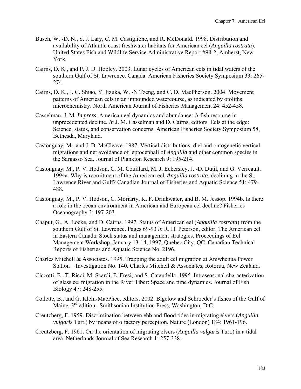- Busch, W. -D. N., S. J. Lary, C. M. Castiglione, and R. McDonald. 1998. Distribution and availability of Atlantic coast freshwater habitats for American eel (*Anguilla rostrata*). United States Fish and Wildlife Service Administrative Report #98-2, Amherst, New York.
- Cairns, D. K., and P. J. D. Hooley. 2003. Lunar cycles of American eels in tidal waters of the southern Gulf of St. Lawrence, Canada. American Fisheries Society Symposium 33: 265- 274.
- Cairns, D. K., J. C. Shiao, Y. Iizuka, W. -N Tzeng, and C. D. MacPherson. 2004. Movement patterns of American eels in an impounded watercourse, as indicated by otoliths microchemistry. North American Journal of Fisheries Management 24: 452-458.
- Casselman, J. M. *In press*. American eel dynamics and abundance: A fish resource in unprecedented decline. *In* J. M. Casselman and D. Cairns, editors. Eels at the edge: Science, status, and conservation concerns. American Fisheries Society Symposium 58, Bethesda, Maryland.
- Castonguay, M., and J. D. McCleave. 1987. Vertical distributions, diel and ontogenetic vertical migrations and net avoidance of leptocephali of *Anguilla* and other common species in the Sargasso Sea. Journal of Plankton Research 9: 195-214.
- Castonguay, M., P. V. Hodson, C. M. Couillard, M. J. Eckersley, J. -D. Dutil, and G. Verreault. 1994a. Why is recruitment of the American eel, *Anguilla rostrata*, declining in the St. Lawrence River and Gulf? Canadian Journal of Fisheries and Aquatic Science 51: 479- 488.
- Castonguay, M., P. V. Hodson, C. Moriarty, K. F. Drinkwater, and B. M. Jessop. 1994b. Is there a role in the ocean environment in American and European eel decline? Fisheries Oceanography 3: 197-203.
- Chaput, G., A. Locke, and D. Cairns. 1997. Status of American eel (*Anguilla rostrata*) from the southern Gulf of St. Lawrence. Pages 69-93 *in* R. H. Peterson, editor. The American eel in Eastern Canada: Stock status and management strategies. Proceedings of Eel Management Workshop, January 13-14, 1997, Quebec City, QC. Canadian Technical Reports of Fisheries and Aquatic Science No. 2196.
- Charles Mitchell & Associates. 1995. Trapping the adult eel migration at Aniwhenua Power Station – Investigation No. 140. Charles Mitchell & Associates, Rotorua, New Zealand.
- Ciccotti, E., T. Ricci, M. Scardi, E. Fresi, and S. Cataudella. 1995. Intraseasonal characterization of glass eel migration in the River Tiber: Space and time dynamics. Journal of Fish Biology 47: 248-255.
- Collette, B., and G. Klein-MacPhee, editors. 2002. Bigelow and Schroeder's fishes of the Gulf of Maine, 3rd edition. Smithsonian Institution Press, Washington, D.C.
- Creutzberg, F. 1959. Discrimination between ebb and flood tides in migrating elvers (*Anguilla vulgaris* Turt.) by means of olfactory perception. Nature (London) 184: 1961-196.
- Creutzberg, F. 1961. On the orientation of migrating elvers (*Anguilla vulgaris* Turt.) in a tidal area. Netherlands Journal of Sea Research 1: 257-338.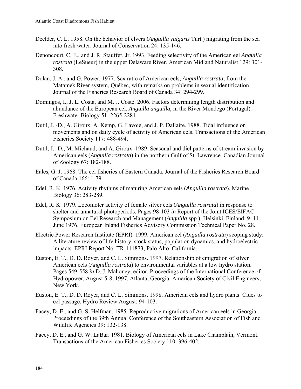- Deelder, C. L. 1958. On the behavior of elvers (*Anguilla vulgaris* Turt.) migrating from the sea into fresh water. Journal of Conservation 24: 135-146.
- Denoncourt, C. E., and J. R. Stauffer, Jr. 1993. Feeding selectivity of the American eel *Anguilla rostrata* (LeSueur) in the upper Delaware River. American Midland Naturalist 129: 301- 308.
- Dolan, J. A., and G. Power. 1977. Sex ratio of American eels, *Anguilla rostrata*, from the Matamek River system, Québec, with remarks on problems in sexual identification. Journal of the Fisheries Research Board of Canada 34: 294-299.
- Domingos, I., J. L. Costa, and M. J. Coste. 2006. Factors determining length distribution and abundance of the European eel, *Anguilla anguilla*, in the River Mondego (Portugal). Freshwater Biology 51: 2265-2281.
- Dutil, J. -D., A. Giroux, A. Kemp, G. Lavoie, and J. P. Dallaire. 1988. Tidal influence on movements and on daily cycle of activity of American eels. Transactions of the American Fisheries Society 117: 488-494.
- Dutil, J. -D., M. Michaud, and A. Giroux. 1989. Seasonal and diel patterns of stream invasion by American eels (*Anguilla rostrata*) in the northern Gulf of St. Lawrence. Canadian Journal of Zoology 67: 182-188.
- Eales, G. J. 1968. The eel fisheries of Eastern Canada. Journal of the Fisheries Research Board of Canada 166: 1-79.
- Edel, R. K. 1976. Activity rhythms of maturing American eels (*Anguilla rostrata*). Marine Biology 36: 283-289.
- Edel, R. K. 1979. Locomoter activity of female silver eels (*Anguilla rostrata*) in response to shelter and unnatural photoperiods. Pages 98-103 *in* Report of the Joint ICES/EIFAC Symposium on Eel Research and Management (*Anguilla* spp.), Helsinki, Finland, 9–11 June 1976. European Inland Fisheries Advisory Commission Technical Paper No. 28.
- Electric Power Research Institute (EPRI). 1999. American eel (*Anguilla rostrata*) scoping study: A literature review of life history, stock status, population dynamics, and hydroelectric impacts. EPRI Report No. TR-111873, Palo Alto, California.
- Euston, E. T., D. D. Royer, and C. L. Simmons. 1997. Relationship of emigration of silver American eels (*Anguilla rostrata*) to environmental variables at a low hydro station. Pages 549-558 *in* D. J. Mahoney, editor. Proceedings of the International Conference of Hydropower, August 5-8, 1997, Atlanta, Georgia. American Society of Civil Engineers, New York.
- Euston, E. T., D. D. Royer, and C. L. Simmons. 1998. American eels and hydro plants: Clues to eel passage. Hydro Review August: 94-103.
- Facey, D. E., and G. S. Helfman. 1985. Reproductive migrations of American eels in Georgia. Proceedings of the 39th Annual Conference of the Southeastern Association of Fish and Wildlife Agencies 39: 132-138.
- Facey, D. E., and G. W. LaBar. 1981. Biology of American eels in Lake Champlain, Vermont. Transactions of the American Fisheries Society 110: 396-402.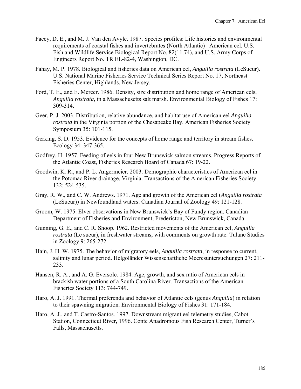- Facey, D. E., and M. J. Van den Avyle. 1987. Species profiles: Life histories and environmental requirements of coastal fishes and invertebrates (North Atlantic) –American eel. U.S. Fish and Wildlife Service Biological Report No. 82(11.74), and U.S. Army Corps of Engineers Report No. TR EL-82-4, Washington, DC.
- Fahay, M. P. 1978. Biological and fisheries data on American eel, *Anguilla rostrata* (LeSueur). U.S. National Marine Fisheries Service Technical Series Report No. 17, Northeast Fisheries Center, Highlands, New Jersey.
- Ford, T. E., and E. Mercer. 1986. Density, size distribution and home range of American eels, *Anguilla rostrata*, in a Massachusetts salt marsh. Environmental Biology of Fishes 17: 309-314.
- Geer, P. J. 2003. Distribution, relative abundance, and habitat use of American eel *Anguilla rostrata* in the Virginia portion of the Chesapeake Bay. American Fisheries Society Symposium 35: 101-115.
- Gerking, S. D. 1953. Evidence for the concepts of home range and territory in stream fishes. Ecology 34: 347-365.
- Godfrey, H. 1957. Feeding of eels in four New Brunswick salmon streams. Progress Reports of the Atlantic Coast, Fisheries Research Board of Canada 67: 19-22.
- Goodwin, K. R., and P. L. Angermeier. 2003. Demographic characteristics of American eel in the Potomac River drainage, Virginia. Transactions of the American Fisheries Society 132: 524-535.
- Gray, R. W., and C. W. Andrews. 1971. Age and growth of the American eel (*Anguilla rostrata* (LeSueur)) in Newfoundland waters. Canadian Journal of Zoology 49: 121-128.
- Groom, W. 1975. Elver observations in New Brunswick's Bay of Fundy region. Canadian Department of Fisheries and Environment, Fredericton, New Brunswick, Canada.
- Gunning, G. E., and C. R. Shoop. 1962. Restricted movements of the American eel, *Anguilla rostrata* (Le sueur), in freshwater streams, with comments on growth rate. Tulane Studies in Zoology 9: 265-272.
- Hain, J. H. W. 1975. The behavior of migratory eels, *Anguilla rostrata*, in response to current, salinity and lunar period. Helgoländer Wissenschaftliche Meeresuntersuchungen 27: 211- 233.
- Hansen, R. A., and A. G. Eversole. 1984. Age, growth, and sex ratio of American eels in brackish water portions of a South Carolina River. Transactions of the American Fisheries Society 113: 744-749.
- Haro, A. J. 1991. Thermal preferenda and behavior of Atlantic eels (genus *Anguilla*) in relation to their spawning migration. Environmental Biology of Fishes 31: 171-184.
- Haro, A. J., and T. Castro-Santos. 1997. Downstream migrant eel telemetry studies, Cabot Station, Connecticut River, 1996. Conte Anadromous Fish Research Center, Turner's Falls, Massachusetts.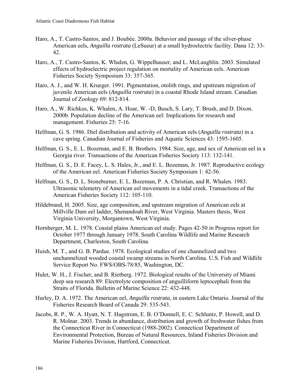- Haro, A., T. Castro-Santos, and J. Boubée. 2000a. Behavior and passage of the silver-phase American eels, *Anguilla rostrata* (LeSueur) at a small hydroelectric facility. Dana 12: 33- 42.
- Haro, A., T. Castro-Santos, K. Whalen, G. Wippelhauser, and L. McLaughlin. 2003. Simulated effects of hydroelectric project regulation on mortality of American eels. American Fisheries Society Symposium 33: 357-365.
- Haro, A. J., and W. H. Krueger. 1991. Pigmentation, otolith rings, and upstream migration of juvenile American eels (*Anguilla rostrata*) in a coastal Rhode Island stream. Canadian Journal of Zoology 69: 812-814.
- Haro, A., W. Richkus, K. Whalen, A. Hoar, W. -D, Busch, S. Lary, T. Brush, and D. Dixon. 2000b. Population decline of the American eel: Implications for research and management. Fisheries 25: 7-16.
- Helfman, G. S. 1986. Diel distribution and activity of American eels (*Anguilla rostrata*) in a cave spring. Canadian Journal of Fisheries and Aquatic Sciences 43: 1595-1605.
- Helfman, G. S., E. L. Bozeman, and E. B. Brothers. 1984. Size, age, and sex of American eel in a Georgia river. Transactions of the American Fisheries Society 113: 132-141.
- Helfman, G. S., D. E. Facey, L. S. Hales, Jr., and E. L. Bozeman, Jr. 1987. Reproductive ecology of the American eel. American Fisheries Society Symposium 1: 42-56.
- Helfman, G. S., D. L. Stoneburner, E. L. Bozeman, P. A. Christian, and R. Whalen. 1983. Ultrasonic telemetry of American eel movements in a tidal creek. Transactions of the American Fisheries Society 112: 105-110.
- Hildebrand, H. 2005. Size, age composition, and upstream migration of American eels at Millville Dam eel ladder, Shenandoah River, West Virginia. Masters thesis, West Virginia University, Morgantown, West Virginia.
- Hornberger, M. L. 1978. Coastal plains American eel study. Pages 42-50 *in* Progress report for October 1977 through January 1978. South Carolina Wildlife and Marine Research Department, Charleston, South Carolina.
- Huish, M. T., and G. B. Pardue. 1978. Ecological studies of one channelized and two unchannelized wooded coastal swamp streams in North Carolina. U.S. Fish and Wildlife Service Report No. FWS/OBS-78/85, Washington, DC.
- Hulet, W. H., J. Fischer, and B. Rietberg. 1972. Biological results of the University of Miami deep sea research 89: Electrolyte composition of anguilliform leptocephali from the Straits of Florida. Bulletin of Marine Science 22: 432-448.
- Hurley, D. A. 1972. The American eel, *Anguilla rostrata*, in eastern Lake Ontario. Journal of the Fisheries Research Board of Canada 29: 535-543.
- Jacobs, R. P., W. A. Hyatt, N. T. Hagstrom, E. B. O'Donnell, E. C. Schluntz, P. Howell, and D. R. Molnar. 2003. Trends in abundance, distribution and growth of freshwater fishes from the Connecticut River in Connecticut (1988-2002). Connecticut Department of Environmental Protection, Bureau of Natural Resources, Inland Fisheries Division and Marine Fisheries Division, Hartford, Connecticut.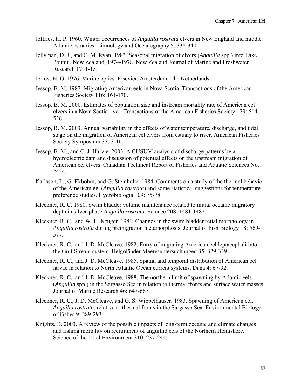- Jeffries, H. P. 1960. Winter occurrences of *Anguilla rostrata* elvers in New England and middle Atlantic estuaries. Limnology and Oceanography 5: 338-340.
- Jellyman, D. J., and C. M. Ryan. 1983. Seasonal migration of elvers (*Anguilla* spp.) into Lake Pounui, New Zealand, 1974-1978. New Zealand Journal of Marine and Freshwater Research 17: 1-15.
- Jerlov, N. G. 1976. Marine optics. Elsevier, Amsterdam, The Netherlands.
- Jessop, B. M. 1987. Migrating American eels in Nova Scotia. Transactions of the American Fisheries Society 116: 161-170.
- Jessop, B. M. 2000. Estimates of population size and instream mortality rate of American eel elvers in a Nova Scotia river. Transactions of the American Fisheries Society 129: 514- 526.
- Jessop, B. M. 2003. Annual variability in the effects of water temperature, discharge, and tidal stage on the migration of American eel elvers from estuary to river. American Fisheries Society Symposium 33: 3-16.
- Jessop, B. M., and C. J. Harvie. 2003. A CUSUM analysis of discharge patterns by a hydroelectric dam and discussion of potential effects on the upstream migration of American eel elvers. Canadian Technical Report of Fisheries and Aquatic Sciences No. 2454.
- Karlsson, L., G. Ekbohm, and G. Steinholtz. 1984. Comments on a study of the thermal behavior of the American eel (*Anguilla rostrata*) and some statistical suggestions for temperature preference studies. Hydrobiologia 109: 75-78.
- Kleckner, R. C. 1980. Swim bladder volume maintenance related to initial oceanic migratory depth in silver-phase *Anguilla rostrata*. Science 208: 1481-1482.
- Kleckner, R. C., and W. H. Kruger. 1981. Changes in the swim bladder retial morphology in *Anguilla rostrata* during premigration metamorphosis. Journal of Fish Biology 18: 569- 577.
- Kleckner, R. C., and J. D. McCleave. 1982. Entry of migrating American eel leptacephali into the Gulf Stream system. Helgoländer Meeresuntersuchungen 35: 329-339.
- Kleckner, R. C., and J. D. McCleave. 1985. Spatial and temporal distribution of American eel larvae in relation to North Atlantic Ocean current systems. Dana 4: 67-92.
- Kleckner, R. C., and J. D. McCleave. 1988. The northern limit of spawning by Atlantic eels (*Anguilla* spp.) in the Sargasso Sea in relation to thermal fronts and surface water masses. Journal of Marine Research 46: 647-667.
- Kleckner, R. C., J. D. McCleave, and G. S. Wippelhauser. 1983. Spawning of American eel, *Anguilla rostrata*, relative to thermal fronts in the Sargasso Sea. Environmental Biology of Fishes 9: 289-293.
- Knights, B. 2003. A review of the possible impacts of long-term oceanic and climate changes and fishing mortality on recruitment of anguillid eels of the Northern Hemishere. Science of the Total Environment 310: 237-244.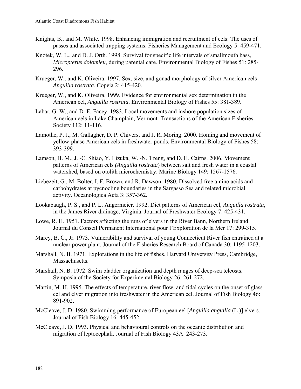- Knights, B., and M. White. 1998. Enhancing immigration and recruitment of eels: The uses of passes and associated trapping systems. Fisheries Management and Ecology 5: 459-471.
- Knotek, W. L., and D. J. Orth. 1998. Survival for specific life intervals of smallmouth bass, *Micropterus dolomieu*, during parental care. Environmental Biology of Fishes 51: 285- 296.
- Krueger, W., and K. Oliveira. 1997. Sex, size, and gonad morphology of silver American eels *Anguilla rostrata*. Copeia 2: 415-420.
- Krueger, W., and K. Oliveira. 1999. Evidence for environmental sex determination in the American eel, *Anguilla rostrata*. Environmental Biology of Fishes 55: 381-389.
- Labar, G. W., and D. E. Facey. 1983. Local movements and inshore population sizes of American eels in Lake Champlain, Vermont. Transactions of the American Fisheries Society 112: 11-116.
- Lamothe, P. J., M. Gallagher, D. P. Chivers, and J. R. Moring. 2000. Homing and movement of yellow-phase American eels in freshwater ponds. Environmental Biology of Fishes 58: 393-399.
- Lamson, H. M., J. -C. Shiao, Y. Lizuka, W. -N. Tzeng, and D. H. Cairns. 2006. Movement patterns of American eels *(Anguilla rostrata*) between salt and fresh water in a coastal watershed, based on otolith microchemistry. Marine Biology 149: 1567-1576.
- Liebezeit, G., M. Bolter, I. F. Brown, and R. Dawson. 1980. Dissolved free amino acids and carbohydrates at pycnocline boundaries in the Sargasso Sea and related microbial activity. Oceanologica Acta 3: 357-362.
- Lookabaugh, P. S., and P. L. Angermeier. 1992. Diet patterns of American eel, *Anguilla rostrata*, in the James River drainage, Virginia. Journal of Freshwater Ecology 7: 425-431.
- Lowe, R. H. 1951. Factors affecting the runs of elvers in the River Bann, Northern Ireland. Journal du Conseil Permanent International pour l'Exploration de la Mer 17: 299-315.
- Marcy, B. C., Jr. 1973. Vulnerability and survival of young Connecticut River fish entrained at a nuclear power plant. Journal of the Fisheries Research Board of Canada 30: 1195-1203.
- Marshall, N. B. 1971. Explorations in the life of fishes. Harvard University Press, Cambridge, Massachusetts.
- Marshall, N. B. 1972. Swim bladder organization and depth ranges of deep-sea teleosts. Symposia of the Society for Experimental Biology 26: 261-272.
- Martin, M. H. 1995. The effects of temperature, river flow, and tidal cycles on the onset of glass eel and elver migration into freshwater in the American eel. Journal of Fish Biology 46: 891-902.
- McCleave, J. D. 1980. Swimming performance of European eel [*Anguilla anguilla* (L.)] elvers. Journal of Fish Biology 16: 445-452.
- McCleave, J. D. 1993. Physical and behavioural controls on the oceanic distribution and migration of leptocephali. Journal of Fish Biology 43A: 243-273.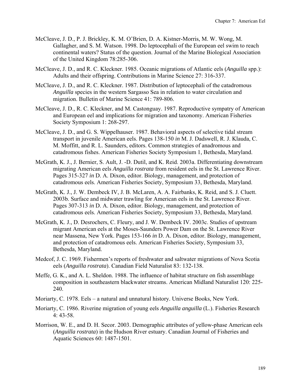- McCleave, J. D., P. J. Brickley, K. M. O'Brien, D. A. Kistner-Morris, M. W. Wong, M. Gallagher, and S. M. Watson. 1998. Do leptocephali of the European eel swim to reach continental waters? Status of the question. Journal of the Marine Biological Association of the United Kingdom 78:285-306.
- McCleave, J. D., and R. C. Kleckner. 1985. Oceanic migrations of Atlantic eels (*Anguilla* spp.): Adults and their offspring. Contributions in Marine Science 27: 316-337.
- McCleave, J. D., and R. C. Kleckner. 1987. Distribution of leptocephali of the catadromous *Anguilla* species in the western Sargasso Sea in relation to water circulation and migration. Bulletin of Marine Science 41: 789-806.
- McCleave, J. D., R. C. Kleckner, and M. Castonguay. 1987. Reproductive sympatry of American and European eel and implications for migration and taxonomy. American Fisheries Society Symposium 1: 268-297.
- McCleave, J. D., and G. S. Wippelhauser. 1987. Behavioral aspects of selective tidal stream transport in juvenile American eels. Pages 138-150 *in* M. J. Dadswell, R. J. Klauda, C. M. Moffitt, and R. L. Saunders, editors. Common strategies of anadromous and catadromous fishes. American Fisheries Society Symposium 1, Bethesda, Maryland.
- McGrath, K. J., J. Bernier, S. Ault, J. -D. Dutil, and K. Reid. 2003a. Differentiating downstream migrating American eels *Anguilla rostrata* from resident eels in the St. Lawrence River. Pages 315-327 *in* D. A. Dixon, editor. Biology, management, and protection of catadromous eels. American Fisheries Society, Symposium 33, Bethesda, Maryland.
- McGrath, K. J., J. W. Dembeck IV, J. B. McLaren, A. A. Fairbanks, K. Reid, and S. J. Cluett. 2003b. Surface and midwater trawling for American eels in the St. Lawrence River. Pages 307-313 *in* D. A. Dixon, editor. Biology, management, and protection of catadromous eels. American Fisheries Society, Symposium 33, Bethesda, Maryland.
- McGrath, K. J., D. Desrochers, C. Fleury, and J. W. Dembeck IV. 2003c. Studies of upstream migrant American eels at the Moses-Saunders Power Dam on the St. Lawrence River near Massena, New York. Pages 153-166 *in* D. A. Dixon, editor. Biology, management, and protection of catadromous eels. American Fisheries Society, Symposium 33, Bethesda, Maryland.
- Medcof, J. C. 1969. Fishermen's reports of freshwater and saltwater migrations of Nova Scotia eels (*Anguilla rostrata*). Canadian Field Naturalist 83: 132-138.
- Meffe, G. K., and A. L. Sheldon. 1988. The influence of habitat structure on fish assemblage composition in southeastern blackwater streams. American Midland Naturalist 120: 225- 240.
- Moriarty, C. 1978. Eels a natural and unnatural history. Universe Books, New York.
- Moriarty, C. 1986. Riverine migration of young eels *Anguilla anguilla* (L.). Fisheries Research 4: 43-58.
- Morrison, W. E., and D. H. Secor. 2003. Demographic attributes of yellow-phase American eels (*Anguilla rostrata*) in the Hudson River estuary. Canadian Journal of Fisheries and Aquatic Sciences 60: 1487-1501.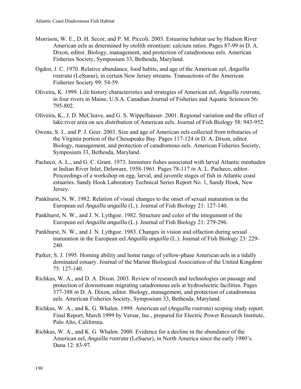- Morrison, W. E., D. H. Secor, and P. M. Piccoli. 2003. Estuarine habitat use by Hudson River American eels as determined by otolith strontium: calcium ratios. Pages 87-99 *in* D. A. Dixon, editor. Biology, management, and protection of catadromous eels. American Fisheries Society, Symposium 33, Bethesda, Maryland.
- Ogden, J. C. 1970. Relative abundance, food habits, and age of the American eel, *Anguilla rostrata* (LeSueur), in certain New Jersey streams. Transactions of the American Fisheries Society 99: 54-59.
- Oliveira, K. 1999. Life history characteristics and strategies of American eel, *Anguilla rostrata*, in four rivers in Maine, U.S.A. Canadian Journal of Fisheries and Aquatic Sciences 56: 795-802.
- Oliveira, K., J. D. McCleave, and G. S. Wippelhauser. 2001. Regional variation and the effect of lake:river area on sex distribution of American eels. Journal of Fish Biology 58: 943-952.
- Owens, S. J., and P. J. Geer. 2003. Size and age of American eels collected from tributaries of the Virginia portion of the Chesapeake Bay. Pages 117-124 *in* D. A. Dixon, editor. Biology, management, and protection of catadromous eels. American Fisheries Society, Symposium 33, Bethesda, Maryland.
- Pacheco, A. L., and G. C. Grant. 1973. Immature fishes associated with larval Atlantic menhaden at Indian River Inlet, Delaware, 1958-1961. Pages 78-117 *in* A. L. Pacheco, editor. Proceedings of a workshop on egg, larval, and juvenile stages of fish in Atlantic coast estuaries. Sandy Hook Laboratory Technical Series Report No. 1, Sandy Hook, New Jersey.
- Pankhurst, N. W. 1982. Relation of visual changes to the onset of sexual maturation in the European eel *Anguilla anguilla* (L.). Journal of Fish Biology 21: 127-140.
- Pankhurst, N. W., and J. N. Lythgoe. 1982. Structure and color of the integument of the European eel *Anguilla anguilla* (L.). Journal of Fish Biology 21: 279-296.
- Pankhurst, N. W., and J. N. Lythgoe. 1983. Changes in vision and olfaction during sexual maturation in the European eel *Anguilla anguilla* (L.). Journal of Fish Biology 23: 229- 240.
- Parker, S. J. 1995. Homing ability and home range of yellow-phase American eels in a tidally dominated estuary. Journal of the Marine Biological Association of the United Kingdom 75: 127-140.
- Richkus, W. A., and D. A. Dixon. 2003. Review of research and technologies on passage and protection of downstream migrating catadromous eels at hydroelectric facilities. Pages 377-388 *in* D. A. Dixon, editor. Biology, management, and protection of catadromous eels. American Fisheries Society, Symposium 33, Bethesda, Maryland.
- Richkus, W. A., and K. G. Whalen. 1999. American eel (*Anguilla rostrata*) scoping study report. Final Report, March 1999 by Versar, Inc., prepared for Electric Power Research Institute, Palo Alto, California.
- Richkus, W. A., and K. G. Whalen. 2000. Evidence for a decline in the abundance of the American eel, *Anguilla rostrata* (LeSueur), in North America since the early 1980's. Dana 12: 83-97.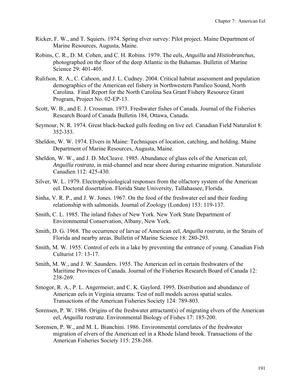- Ricker, F. W., and T. Squiers. 1974. Spring elver survey: Pilot project. Maine Department of Marine Resources, Augusta, Maine.
- Robins, C. R., D. M. Cohen, and C. H. Robins. 1979. The eels, *Anguilla* and *Histiobranchus*, photographed on the floor of the deep Atlantic in the Bahamas. Bulletin of Marine Science 29: 401-405.
- Rulifson, R. A., C. Cahoon, and J. L. Cudney. 2004. Critical habitat assessment and population demographics of the American eel fishery in Northwestern Pamlico Sound, North Carolina. Final Report for the North Carolina Sea Grant Fishery Resource Grant Program, Project No. 02-EP-13.
- Scott, W. B., and E. J. Crossman. 1973. Freshwater fishes of Canada. Journal of the Fisheries Research Board of Canada Bulletin 184, Ottawa, Canada.
- Seymour, N. R. 1974. Great black-backed gulls feeding on live eel. Canadian Field Naturalist 8: 352-353.
- Sheldon, W. W. 1974. Elvers in Maine: Techniques of location, catching, and holding. Maine Department of Marine Resources, Augusta, Maine.
- Sheldon, W. W., and J. D. McCleave. 1985. Abundance of glass eels of the American eel, *Anguilla rostrata*, in mid-channel and near shore during estuarine migration. Naturaliste Canadien 112: 425-430.
- Silver, W. L. 1979. Electrophysiological responses from the olfactory system of the American eel. Doctoral dissertation. Florida State University, Tallahassee, Florida.
- Sinha, V. R. P., and J. W. Jones. 1967. On the food of the freshwater eel and their feeding relationship with salmonids. Journal of Zoology (London) 153: 119-137.
- Smith, C. L. 1985. The inland fishes of New York. New York State Department of Environmental Conservation, Albany, New York.
- Smith, D. G. 1968. The occurrence of larvae of American eel, *Anguilla rostrata*, in the Straits of Florida and nearby areas. Bulletin of Marine Science 18: 280-293.
- Smith, M. W. 1955. Control of eels in a lake by preventing the entrance of young. Canadian Fish Culturist 17: 13-17.
- Smith, M. W., and J. W. Saunders. 1955. The American eel in certain freshwaters of the Maritime Provinces of Canada. Journal of the Fisheries Research Board of Canada 12: 238-269.
- Smogor, R. A., P. L. Angermeier, and C. K. Gaylord. 1995. Distribution and abundance of American eels in Virginia streams: Test of null models across spatial scales. Transactions of the American Fisheries Society 124: 789-803.
- Sorensen, P. W. 1986. Origins of the freshwater attractant(s) of migrating elvers of the American eel, *Anguilla rostrata*. Environmental Biology of Fishes 17: 185-200.
- Sorensen, P. W., and M. L. Bianchini. 1986. Environmental correlates of the freshwater migration of elvers of the American eel in a Rhode Island brook. Transactions of the American Fisheries Society 115: 258-268.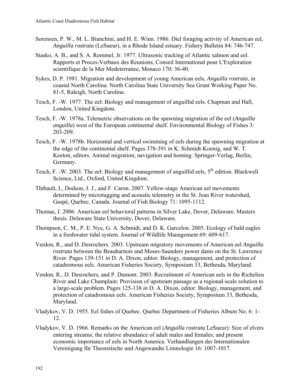- Sorensen, P. W., M. L. Bianchini, and H. E. Winn. 1986. Diel foraging activity of American eel, *Anguilla rostrata* (LeSueur), in a Rhode Island estuary. Fishery Bulletin 84: 746-747.
- Stasko, A. B., and S. A. Rommel, Jr. 1977. Ultrasonic tracking of Atlantic salmon and eel. Rapports et Proces-Verbaux des Reunions, Conseil International pour L'Exploration scientifique de la Mer Medeterranee, Monaco 170: 36-40.
- Sykes, D. P. 1981. Migration and development of young American eels, *Anguilla rostrata*, in coastal North Carolina. North Carolina State University Sea Grant Working Paper No. 81-5, Raleigh, North Carolina.
- Tesch, F. -W. 1977. The eel: Biology and management of anguillid eels. Chapman and Hall, London, United Kingdom.
- Tesch, F. -W. 1978a. Telemetric observations on the spawning migration of the eel (*Anguilla anguilla*) west of the European continental shelf. Environmental Biology of Fishes 3: 203-209.
- Tesch, F. -W. 1978b. Horizontal and vertical swimming of eels during the spawning migration at the edge of the continental shelf. Pages 378-391 *in* K. Schmidt-Koenig, and W. T. Keeton, editors. Animal migration, navigation and homing. Springer-Verlag, Berlin, Germany.
- Tesch, F. -W. 2003. The eel: Biology and management of anguillid eels,  $5<sup>th</sup>$  edition. Blackwell Science, Ltd., Oxford, United Kingdom.
- Thibault, I., Dodson, J. J., and F. Caron. 2007. Yellow-stage American eel movements determined by microtagging and acoustic telemetry in the St. Jean River watershed, Gaspé, Quebec, Canada. Journal of Fish Biology 71: 1095-1112.
- Thomas, J. 2006. American eel behavioral patterns in Silver Lake, Dover, Delaware. Masters thesis. Delaware State University, Dover, Delaware.
- Thompson, C. M., P. E. Nye, G. A. Schmidt, and D. K. Garcelon. 2005. Ecology of bald eagles in a freshwater tidal system. Journal of Wildlife Management 69: 609-617.
- Verdon, R., and D. Desrochers. 2003. Upstream migratory movements of American eel *Anguilla rostrata* between the Beauharnois and Moses-Saunders power dams on the St. Lawrence River. Pages 139-151 *in* D. A. Dixon, editor. Biology, management, and protection of catadromous eels. American Fisheries Society, Symposium 33, Bethesda, Maryland.
- Verdon, R., D. Desrochers, and P. Dumont. 2003. Recruitment of American eels in the Richelieu River and Lake Champlain: Provision of upstream passage as a regional-scale solution to a large-scale problem. Pages 125-138 *in* D. A. Dixon, editor. Biology, management, and protection of catadromous eels. American Fisheries Society, Symposium 33, Bethesda, Maryland.
- Vladykov, V. D. 1955. Eel fishes of Quebec. Quebec Department of Fisheries Album No. 6: 1- 12.
- Vladykov, V. D. 1966. Remarks on the American eel (*Anguilla rostrata* LeSueur): Size of elvers entering streams; the relative abundance of adult males and females; and present economic importance of eels in North America. Verhandlungen der Internationalen Vereinigung für Theoretische und Angewandte Limnologie 16: 1007-1017.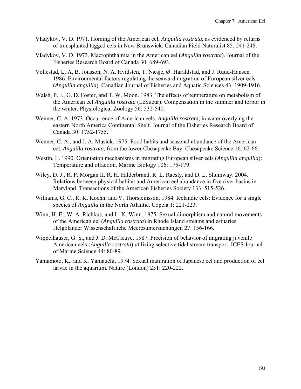- Vladykov, V. D. 1971. Homing of the American eel, *Anguilla rostrata*, as evidenced by returns of transplanted tagged eels in New Brunswick. Canadian Field Naturalist 85: 241-248.
- Vladykov, V. D. 1973. Macrophthalmia in the American eel (*Anguilla rostrata*). Journal of the Fisheries Research Board of Canada 30: 689-693.
- Vøllestad, L. A, B. Jonsson, N. A. Hvidsten, T. Næsje, Ø. Haraldstad, and J. Ruud-Hansen. 1986. Environmental factors regulating the seaward migration of European silver eels (*Anguilla anguilla*). Canadian Journal of Fisheries and Aquatic Sciences 43: 1909-1916.
- Walsh, P. J., G. D. Foster, and T. W. Moon. 1983. The effects of temperature on metabolism of the American eel *Anguilla rostrata* (LeSueur): Compensation in the summer and torpor in the winter. Physiological Zoology 56: 532-540.
- Wenner, C. A. 1973. Occurrence of American eels, *Anguilla rostrata*, in water overlying the eastern North America Continental Shelf. Journal of the Fisheries Research Board of Canada 30: 1752-1755.
- Wenner, C. A., and J. A. Musick. 1975. Food habits and seasonal abundance of the American eel, *Anguilla rostrata*, from the lower Chesapeake Bay. Chesapeake Science 16: 62-66.
- Westin, L. 1990. Orientation mechanisms in migrating European silver eels (*Anguilla anguilla*): Temperature and olfaction. Marine Biology 106: 175-179.
- Wiley, D. J., R. P. Morgan II, R. H. Hilderbrand, R. L. Raesly, and D. L. Shumway. 2004. Relations between physical habitat and American eel abundance in five river basins in Maryland. Transactions of the American Fisheries Society 133: 515-526.
- Williams, G. C., R. K. Koehn, and V. Thorsteinsson. 1984. Icelandic eels: Evidence for a single species of *Anguilla* in the North Atlantic. Copeia 1: 221-223.
- Winn, H. E., W. A. Richkus, and L. K. Winn. 1975. Sexual dimorphism and natural movements of the American eel (*Anguilla rostrata*) in Rhode Island streams and estuaries. Helgoländer Wissenschaftliche Meeresuntersuchungen 27: 156-166.
- Wippelhauser, G. S., and J. D. McCleave. 1987. Precision of behavior of migrating juvenile American eels (*Anguilla rostrata*) utilizing selective tidal stream transport. ICES Journal of Marine Science 44: 80-89.
- Yamamoto, K., and K. Yamauchi. 1974. Sexual maturation of Japanese eel and production of eel larvae in the aquarium. Nature (London) 251: 220-222.